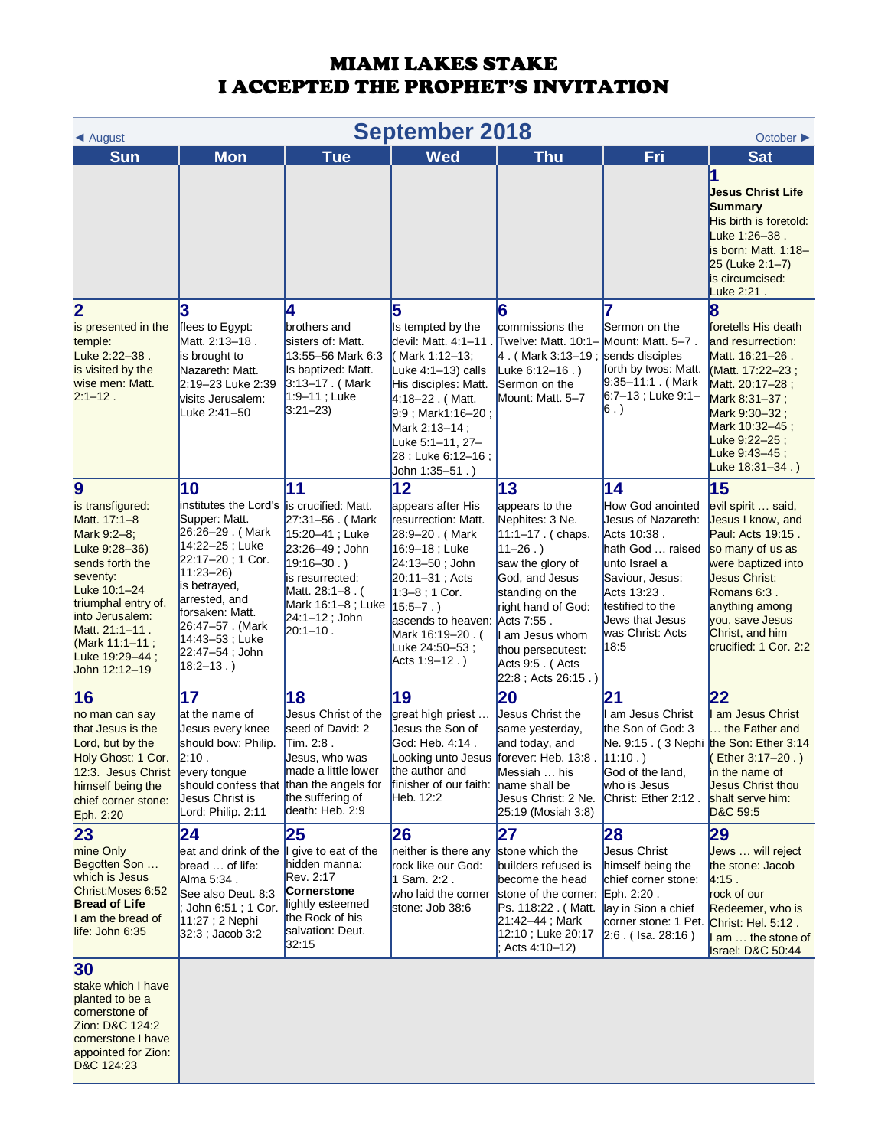| <b>September 2018</b><br>$\triangleleft$ August<br>October $\blacktriangleright$                                                                                                                                                                                                                              |                                                                                                                                                                                                                                                                                                           |                                                                                                                                                                                                                                                                                                                       |                                                                                                                                                                                                                                                            |                                                                                                                                                                                                                                                                                                                                             |                                                                                                                                                                                                                                                                                                     |                                                                                                                                                                                                                                                                                                                                                 |  |
|---------------------------------------------------------------------------------------------------------------------------------------------------------------------------------------------------------------------------------------------------------------------------------------------------------------|-----------------------------------------------------------------------------------------------------------------------------------------------------------------------------------------------------------------------------------------------------------------------------------------------------------|-----------------------------------------------------------------------------------------------------------------------------------------------------------------------------------------------------------------------------------------------------------------------------------------------------------------------|------------------------------------------------------------------------------------------------------------------------------------------------------------------------------------------------------------------------------------------------------------|---------------------------------------------------------------------------------------------------------------------------------------------------------------------------------------------------------------------------------------------------------------------------------------------------------------------------------------------|-----------------------------------------------------------------------------------------------------------------------------------------------------------------------------------------------------------------------------------------------------------------------------------------------------|-------------------------------------------------------------------------------------------------------------------------------------------------------------------------------------------------------------------------------------------------------------------------------------------------------------------------------------------------|--|
| <b>Sun</b>                                                                                                                                                                                                                                                                                                    | <b>Mon</b>                                                                                                                                                                                                                                                                                                | <b>Tue</b>                                                                                                                                                                                                                                                                                                            | <b>Wed</b>                                                                                                                                                                                                                                                 | <b>Thu</b>                                                                                                                                                                                                                                                                                                                                  | Fri                                                                                                                                                                                                                                                                                                 | <b>Sat</b>                                                                                                                                                                                                                                                                                                                                      |  |
|                                                                                                                                                                                                                                                                                                               |                                                                                                                                                                                                                                                                                                           |                                                                                                                                                                                                                                                                                                                       |                                                                                                                                                                                                                                                            |                                                                                                                                                                                                                                                                                                                                             |                                                                                                                                                                                                                                                                                                     | 1<br><b>Jesus Christ Life</b><br>Summary<br>His birth is foretold:<br>Luke 1:26-38.<br>is born: Matt. 1:18-<br>25 (Luke 2:1-7)<br>is circumcised:<br>Luke 2:21.                                                                                                                                                                                 |  |
| $\overline{\mathbf{2}}$<br>is presented in the<br>temple:<br>Luke 2:22-38.<br>is visited by the<br>wise men: Matt.<br>$2:1 - 12$ .                                                                                                                                                                            | flees to Egypt:<br>Matt. 2:13-18.<br>is brought to<br>Nazareth: Matt.<br>2:19-23 Luke 2:39<br>visits Jerusalem:<br>Luke 2:41–50                                                                                                                                                                           | 4<br>brothers and<br>sisters of: Matt.<br>13:55-56 Mark 6:3<br>Is baptized: Matt.<br>$3:13-17$ . (Mark<br>$1:9 - 11$ ; Luke<br>$3:21-23$                                                                                                                                                                              | 5<br>Is tempted by the<br>devil: Matt. 4:1-11<br>( Mark 1:12–13;<br>Luke 4:1-13) calls<br>His disciples: Matt.<br>4:18-22. (Matt.<br>9:9 : Mark1:16-20 :<br>Mark 2:13-14;<br>Luke 5:1–11, 27–<br>28 ; Luke 6:12-16 ;<br>John 1:35–51.)                     | 6<br>commissions the<br>Twelve: Matt. 10:1-<br>4. (Mark 3:13-19; sends disciples<br>Luke $6:12-16$ .)<br>Sermon on the<br>Mount: Matt. 5-7                                                                                                                                                                                                  | Sermon on the<br>Mount: Matt. 5-7.<br>forth by twos: Matt.<br>$9:35 - 11:1$ . (Mark<br>$6:7-13$ ; Luke $9:1-$<br>$ 6.$ )                                                                                                                                                                            | 8<br>foretells His death<br>and resurrection:<br>Matt. 16:21-26.<br>(Matt. 17:22-23;<br>Matt. 20:17-28;<br>Mark 8:31-37;<br>Mark 9:30-32;<br>Mark 10:32-45;<br>Luke 9:22-25;<br>Luke 9:43-45;<br>Luke $18.31 - 34.$                                                                                                                             |  |
| $\boldsymbol{9}$<br>is transfigured:<br>Matt. 17:1-8<br>Mark 9:2-8;<br>Luke 9:28-36)<br>sends forth the<br>seventy:<br>Luke 10:1-24<br>triumphal entry of,<br>linto Jerusalem:<br>Matt. 21:1-11.<br>(Mark 11:1-11;<br>Luke 19:29-44;<br>John 12:12-19                                                         | 10<br>institutes the Lord's is crucified: Matt.<br>Supper: Matt.<br>26:26-29. (Mark<br>14:22-25; Luke<br>22:17-20; 1 Cor.<br>$11:23 - 26$<br>is betrayed,<br>arrested, and<br>forsaken: Matt.<br>26:47–57 . (Mark<br>14:43–53 ; Luke<br>22:47–54 ; John<br>$18:2 - 13.$ )                                 | 11<br>27:31-56. (Mark<br>15:20-41; Luke<br>23:26-49; John<br>19:16–30.)<br>is resurrected:<br>Matt. 28:1-8. (<br>Mark 16:1-8; Luke   15:5-7.)<br>$24:1 - 12$ ; John<br>$20:1 - 10$ .                                                                                                                                  | 12<br>appears after His<br>resurrection: Matt.<br>28:9-20. (Mark<br>16:9-18; Luke<br>24:13–50; John<br>$20:11 - 31$ ; Acts<br>$1:3-8$ ; 1 Cor.<br>ascends to heaven:<br>Mark 16:19–20 . (<br>Luke 24:50-53;<br>Acts 1:9-12.)                               | 13<br>appears to the<br>Nephites: 3 Ne.<br>11:1-17. (chaps.<br>$11 - 26.$<br>saw the glory of<br>God, and Jesus<br>standing on the<br>right hand of God:<br>Acts 7:55.<br>I am Jesus whom<br>thou persecutest:<br>Acts 9:5. (Acts<br>22:8; Acts 26:15.)                                                                                     | 14<br>How God anointed<br>Jesus of Nazareth:<br>Acts 10:38.<br>hath God  raised<br>unto Israel a<br>Saviour, Jesus:<br>Acts 13:23.<br>testified to the<br>Jews that Jesus<br>was Christ: Acts<br>18:5                                                                                               | 15<br>evil spirit  said,<br>Jesus I know, and<br>Paul: Acts 19:15.<br>so many of us as<br>were baptized into<br>Jesus Christ:<br>Romans 6:3.<br>anything among<br>you, save Jesus<br>Christ, and him<br>crucified: 1 Cor. 2:2                                                                                                                   |  |
| 16<br>no man can say<br>that Jesus is the<br>Lord, but by the<br>Holy Ghost: 1 Cor.<br>12:3. Jesus Christ<br>himself being the<br>chief corner stone:<br>Eph. 2:20<br>23<br>mine Only<br>Begotten Son<br>which is Jesus<br>Christ: Moses 6:52<br><b>Bread of Life</b><br>I am the bread of<br>life: John 6:35 | 17<br>at the name of<br>Jesus every knee<br>should bow: Philip.<br>2:10.<br>every tongue<br>should confess that<br>Jesus Christ is<br>Lord: Philip. 2:11<br>24<br>eat and drink of the<br>bread  of life:<br>Alma 5:34.<br>See also Deut. 8:3<br>John 6:51; 1 Cor.<br>11:27 ; 2 Nephi<br>32:3 ; Jacob 3:2 | 18<br>Jesus Christ of the<br>seed of David: 2<br>Tim. 2:8.<br>Jesus, who was<br>made a little lower<br>than the angels for<br>the suffering of<br>death: Heb. 2:9<br>25<br>give to eat of the<br>hidden manna:<br>Rev. 2:17<br><b>Cornerstone</b><br>lightly esteemed<br>the Rock of his<br>salvation: Deut.<br>32:15 | 19<br>great high priest<br>Jesus the Son of<br>God: Heb. 4:14.<br>Looking unto Jesus<br>the author and<br>finisher of our faith:<br>Heb. 12:2<br>26<br>neither is there any<br>rock like our God:<br>1 Sam. 2:2.<br>who laid the corner<br>stone: Job 38:6 | 20<br>Jesus Christ the<br>same yesterday,<br>and today, and<br>forever: Heb. 13:8.<br>Messiah  his<br>name shall be<br>Jesus Christ: 2 Ne.<br>25:19 (Mosiah 3:8)<br>27<br>stone which the<br>builders refused is<br>become the head<br>stone of the corner:<br>Ps. 118:22 . (Matt.<br>21:42-44; Mark<br>12:10 ; Luke 20:17<br>Acts 4:10-12) | $\mathbf{21}$<br>am Jesus Christ<br>the Son of God: 3<br>11:10.<br>God of the land,<br>who is Jesus<br>Christ: Ether 2:12.<br>28<br>Jesus Christ<br>himself being the<br>chief corner stone:<br>Eph. 2:20.<br>lay in Sion a chief<br>corner stone: 1 Pet. Christ: Hel. 5:12.<br>$2:6.$ (Isa. 28:16) | $ 22\rangle$<br>I am Jesus Christ<br>the Father and<br>Ne. 9:15 . ( 3 Nephi the Son: Ether 3:14<br>Ether 3:17-20.)<br>in the name of<br><b>Jesus Christ thou</b><br>shalt serve him:<br>D&C 59:5<br>29<br>Jews  will reject<br>the stone: Jacob<br>4:15.<br>rock of our<br>Redeemer, who is<br>am  the stone of<br><b>Israel: D&amp;C 50:44</b> |  |
| 30<br>stake which I have<br>planted to be a<br>cornerstone of<br>Zion: D&C 124:2<br>cornerstone I have<br>appointed for Zion:<br>D&C 124:23                                                                                                                                                                   |                                                                                                                                                                                                                                                                                                           |                                                                                                                                                                                                                                                                                                                       |                                                                                                                                                                                                                                                            |                                                                                                                                                                                                                                                                                                                                             |                                                                                                                                                                                                                                                                                                     |                                                                                                                                                                                                                                                                                                                                                 |  |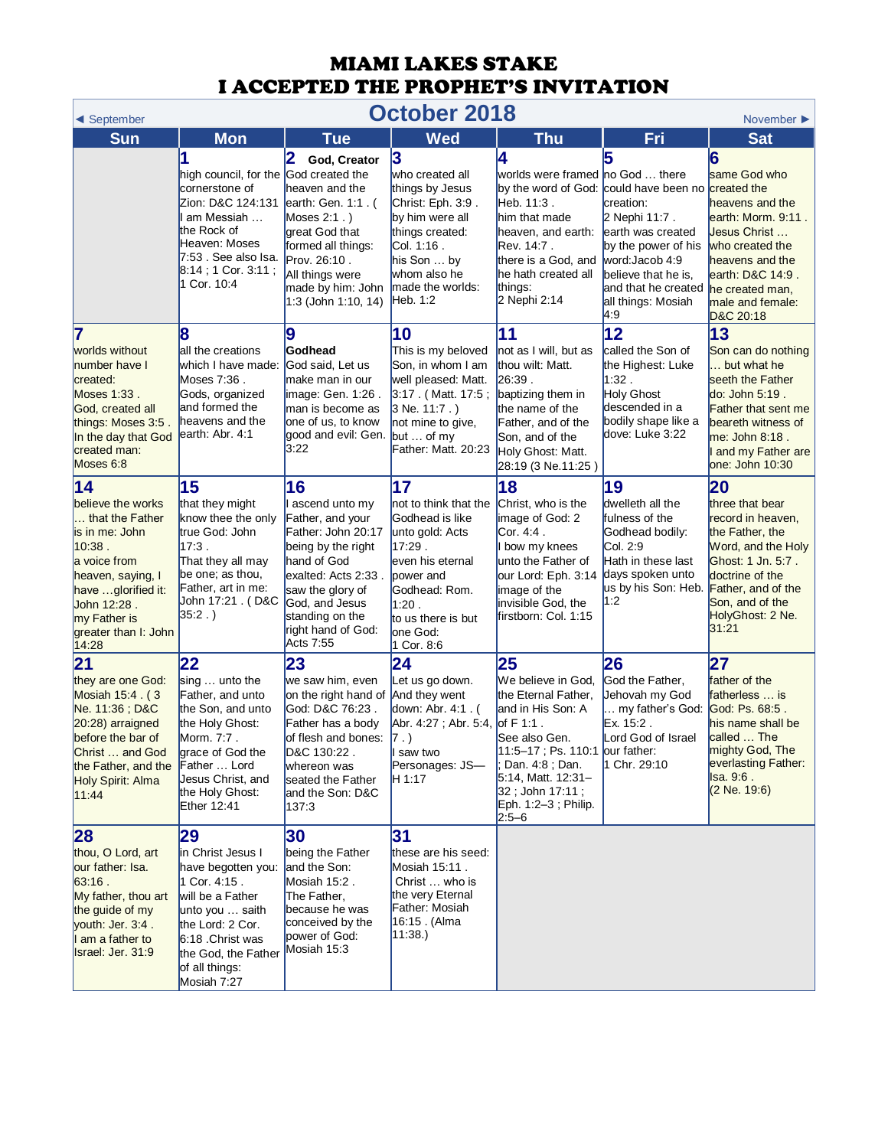| October 2018<br>◀ September<br>November $\blacktriangleright$                                                                                                                                                  |                                                                                                                                                                                                     |                                                                                                                                                                                                                          |                                                                                                                                                                                        |                                                                                                                                                                                                                                           |                                                                                                                                                                      |                                                                                                                                                                                                   |  |
|----------------------------------------------------------------------------------------------------------------------------------------------------------------------------------------------------------------|-----------------------------------------------------------------------------------------------------------------------------------------------------------------------------------------------------|--------------------------------------------------------------------------------------------------------------------------------------------------------------------------------------------------------------------------|----------------------------------------------------------------------------------------------------------------------------------------------------------------------------------------|-------------------------------------------------------------------------------------------------------------------------------------------------------------------------------------------------------------------------------------------|----------------------------------------------------------------------------------------------------------------------------------------------------------------------|---------------------------------------------------------------------------------------------------------------------------------------------------------------------------------------------------|--|
| <b>Sun</b>                                                                                                                                                                                                     | <b>Mon</b>                                                                                                                                                                                          | <b>Tue</b>                                                                                                                                                                                                               | <b>Wed</b>                                                                                                                                                                             | <b>Thu</b>                                                                                                                                                                                                                                | Fri                                                                                                                                                                  | <b>Sat</b>                                                                                                                                                                                        |  |
|                                                                                                                                                                                                                | high council, for the God created the<br>cornerstone of<br>Zion: D&C 124:131<br>am Messiah<br>the Rock of<br>Heaven: Moses<br>7:53 . See also Isa.<br>8:14 ; 1 Cor. 3:11 ;<br>1 Cor. 10:4           | 2<br>God, Creator<br>heaven and the<br>earth: Gen. 1:1. (<br>Moses $2:1$ .)<br>great God that<br>formed all things:<br>Prov. 26:10.<br>All things were<br>made by him: John<br>1:3 (John 1:10, 14)                       | 13<br>who created all<br>things by Jesus<br>Christ: Eph. 3:9.<br>by him were all<br>things created:<br>Col. 1:16.<br>his Son  by<br>whom also he<br>Imade the worlds:<br>Heb. 1:2      | 4<br>worlds were framed no God  there<br>by the word of God: could have been no created the<br>Heb. 11:3.<br>him that made<br>heaven, and earth:<br>Rev. 14:7.<br>there is a God, and<br>he hath created all<br>things:<br>2 Nephi 2:14   | creation:<br>2 Nephi 11:7.<br>earth was created<br>by the power of his<br>word: Jacob 4:9<br>believe that he is.<br>and that he created<br>all things: Mosiah<br>4.9 | 6<br>same God who<br>heavens and the<br>earth: Morm. 9:11.<br>Jesus Christ<br>who created the<br>heavens and the<br>earth: D&C 14:9.<br>he created man.<br>male and female:<br>D&C 20:18          |  |
| 7<br>worlds without<br>number have I<br>created:<br>Moses 1:33.<br>God, created all<br>things: Moses 3:5.<br>In the day that God<br>created man:<br>Moses 6:8                                                  | 8<br>all the creations<br>which I have made:<br>Moses 7:36.<br>Gods, organized<br>and formed the<br>heavens and the<br>earth: Abr. 4:1                                                              | 9<br>Godhead<br>God said, Let us<br>make man in our<br>image: Gen. 1:26.<br>man is become as<br>one of us, to know<br>good and evil: Gen. but  of my<br>3:22                                                             | 10<br>This is my beloved<br>Son, in whom I am<br>well pleased: Matt.<br>3:17 (Matt. 17:5;<br>$3$ Ne. 11:7.)<br>not mine to give.<br>Father: Matt. 20:23                                | 11<br>not as I will, but as<br>thou wilt: Matt.<br>26:39.<br>baptizing them in<br>the name of the<br>Father, and of the<br>Son, and of the<br>Holy Ghost: Matt.<br>28:19 (3 Ne.11:25)                                                     | 12<br>called the Son of<br>the Highest: Luke<br>1:32.<br><b>Holy Ghost</b><br>descended in a<br>bodily shape like a<br>dove: Luke 3:22                               | 13<br>Son can do nothing<br>but what he<br>seeth the Father<br>do: John 5:19.<br><b>Father that sent me</b><br>beareth witness of<br>me: John 8:18.<br>and my Father are<br>one: John 10:30       |  |
| $\overline{14}$<br>believe the works<br>that the Father<br>is in me: John<br>10:38.<br>a voice from<br>heaven, saying, I<br>have glorified it:<br>John 12:28.<br>my Father is<br>greater than I: John<br>14:28 | 15<br>that they might<br>know thee the only<br>true God: John<br>$17:3$ .<br>That they all may<br>be one; as thou,<br>Father, art in me:<br>John 17:21 . (D&C<br>$35:2.$ )                          | 16<br>l ascend unto my<br>Father, and your<br>Father: John 20:17<br>being by the right<br>hand of God<br>exalted: Acts 2:33.<br>saw the glory of<br>God, and Jesus<br>standing on the<br>right hand of God:<br>Acts 7:55 | 17<br>not to think that the<br>Godhead is like<br>unto gold: Acts<br>17:29.<br>even his eternal<br>power and<br>Godhead: Rom.<br>1:20.<br>to us there is but<br>one God:<br>1 Cor. 8:6 | 18<br>Christ, who is the<br>image of God: 2<br>Cor. 4:4 .<br>I bow my knees<br>unto the Father of<br>our Lord: Eph. 3:14<br>image of the<br>invisible God, the<br>firstborn: Col. 1:15                                                    | 19<br>dwelleth all the<br>fulness of the<br>Godhead bodily:<br>Col. 2:9<br>Hath in these last<br>days spoken unto<br>us by his Son: Heb.<br>1:2                      | 20<br>three that bear<br>record in heaven,<br>the Father, the<br>Word, and the Holy<br>Ghost: 1 Jn. 5:7.<br>doctrine of the<br>Father, and of the<br>Son, and of the<br>HolyGhost: 2 Ne.<br>31:21 |  |
| 21<br>they are one God:<br>Mosiah 15:4 . (3<br>Ne. 11:36; D&C<br>20:28) arraigned<br>before the bar of<br>Christ  and God<br>the Father, and the<br>Holy Spirit: Alma<br>11:44                                 | 22<br>sing $\dots$ unto the<br>Father, and unto<br>the Son, and unto<br>the Holy Ghost:<br>Morm. 7:7.<br>grace of God the<br>Father  Lord<br>Jesus Christ, and<br>the Holy Ghost:<br>Ether 12:41    | 23<br>we saw him, even<br>on the right hand of And they went<br>God: D&C 76:23.<br>Father has a body<br>of flesh and bones:<br>D&C 130:22.<br>whereon was<br>seated the Father<br>and the Son: D&C<br>137:3              | 24<br>Let us go down.<br>down: Abr. 4:1. (<br>Abr. 4:27; Abr. 5:4,<br> 7.<br>I saw two<br>Personages: JS-<br>H 1:17                                                                    | 25<br>We believe in God,<br>the Eternal Father,<br>and in His Son: A<br>of $F 1:1$ .<br>See also Gen.<br>11:5-17 ; Ps. 110:1 our father:<br>Dan. 4:8; Dan.<br>5:14, Matt. 12:31-<br>32 ; John 17:11 ;<br>Eph. 1:2-3; Philip.<br>$2:5 - 6$ | 26<br>God the Father,<br>Jehovah my God<br>my father's God:<br>Ex. 15:2.<br>Lord God of Israel<br>1 Chr. 29:10                                                       | 27<br>father of the<br>fatherless  is<br>God: Ps. 68:5.<br>his name shall be<br>called  The<br>mighty God, The<br>everlasting Father:<br>Isa. 9:6.<br>$(2$ Ne. 19:6)                              |  |
| 28<br>thou, O Lord, art<br>our father: Isa.<br>63:16.<br>My father, thou art<br>the guide of my<br>youth: Jer. 3:4.<br>I am a father to<br>Israel: Jer. 31:9                                                   | 29<br>in Christ Jesus I<br>have begotten you:<br>1 Cor. 4:15.<br>will be a Father<br>unto you  saith<br>the Lord: 2 Cor.<br>6:18 Christ was<br>the God, the Father<br>of all things:<br>Mosiah 7:27 | 30<br>being the Father<br>and the Son:<br>Mosiah 15:2.<br>The Father,<br>because he was<br>conceived by the<br>power of God:<br>Mosiah 15:3                                                                              | 31<br>these are his seed:<br>Mosiah 15:11.<br>Christ  who is<br>the very Eternal<br>Father: Mosiah<br>16:15 . (Alma<br> 11:38.                                                         |                                                                                                                                                                                                                                           |                                                                                                                                                                      |                                                                                                                                                                                                   |  |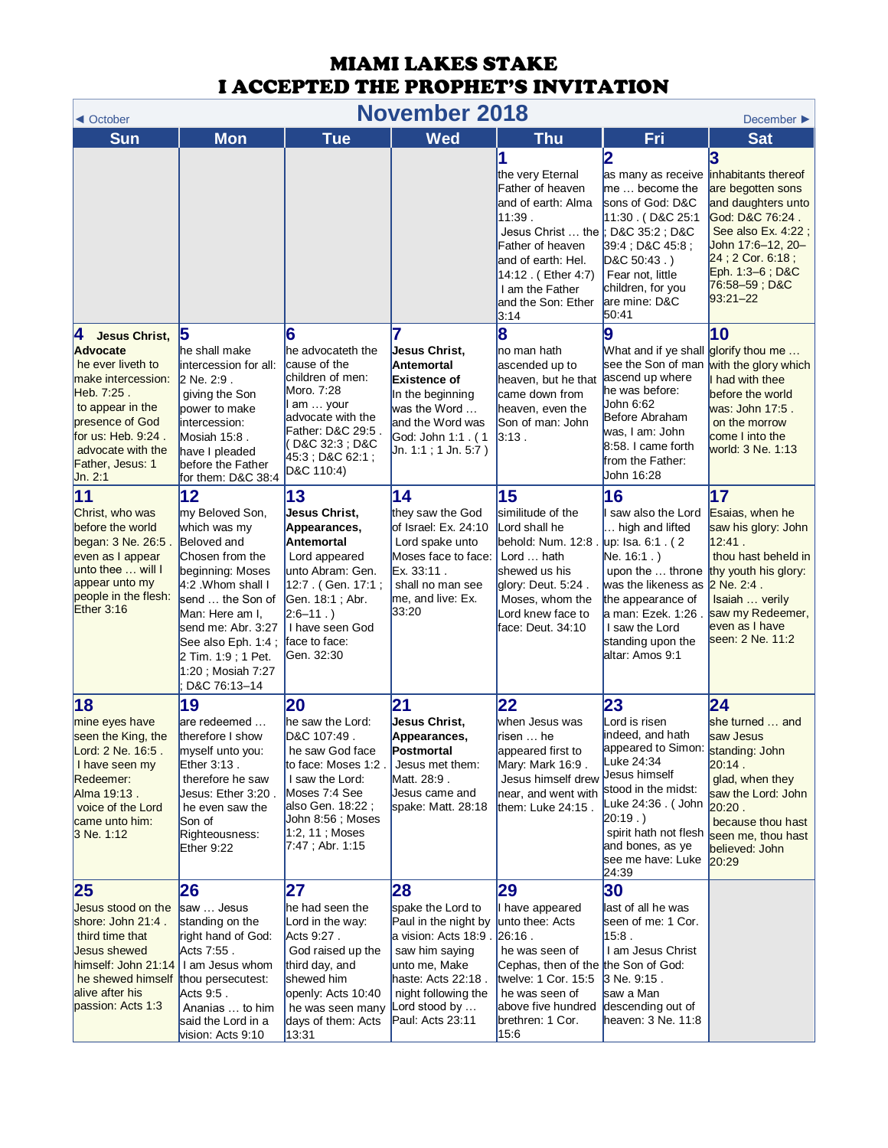| <b>November 2018</b><br>◀ October                                                                                                                                                                                       |                                                                                                                                                                                                                                                                 |                                                                                                                                                                                                       |                                                                                                                                                                                              |                                                                                                                                                                                                                             |                                                                                                                                                                                                                                                |                                                                                                                                                                                                         |  |
|-------------------------------------------------------------------------------------------------------------------------------------------------------------------------------------------------------------------------|-----------------------------------------------------------------------------------------------------------------------------------------------------------------------------------------------------------------------------------------------------------------|-------------------------------------------------------------------------------------------------------------------------------------------------------------------------------------------------------|----------------------------------------------------------------------------------------------------------------------------------------------------------------------------------------------|-----------------------------------------------------------------------------------------------------------------------------------------------------------------------------------------------------------------------------|------------------------------------------------------------------------------------------------------------------------------------------------------------------------------------------------------------------------------------------------|---------------------------------------------------------------------------------------------------------------------------------------------------------------------------------------------------------|--|
| <b>Sun</b>                                                                                                                                                                                                              | <b>Mon</b>                                                                                                                                                                                                                                                      | <b>Tue</b>                                                                                                                                                                                            | <b>Wed</b>                                                                                                                                                                                   | <b>Thu</b>                                                                                                                                                                                                                  | Fri                                                                                                                                                                                                                                            | December ▶<br><b>Sat</b>                                                                                                                                                                                |  |
|                                                                                                                                                                                                                         |                                                                                                                                                                                                                                                                 |                                                                                                                                                                                                       |                                                                                                                                                                                              | the very Eternal<br>Father of heaven<br>and of earth: Alma<br>11:39.<br>Jesus Christ  the  ; D&C 35:2 ; D&C<br>Father of heaven<br>and of earth: Hel.<br>14:12 (Ether 4:7)<br>I am the Father<br>and the Son: Ether<br>3:14 | 2<br>as many as receive<br>$me$ become the<br>sons of God: D&C<br>11:30 . (D&C 25:1<br>39:4 : D&C 45:8 :<br>$D&C$ 50:43.)<br>Fear not, little<br>children, for you<br>are mine: D&C<br>50:41                                                   | inhabitants thereof<br>are begotten sons<br>and daughters unto<br>God: D&C 76:24.<br>See also Ex. 4:22;<br>John 17:6–12, 20–<br>24 ; 2 Cor. 6:18 ;<br>Eph. 1:3-6; D&C<br>76:58–59 ; D&C<br>$93:21 - 22$ |  |
| Ι4<br><b>Jesus Christ,</b><br><b>Advocate</b><br>he ever liveth to<br>make intercession:<br>Heb. 7:25.<br>to appear in the<br>presence of God<br>for us: Heb. 9:24.<br>advocate with the<br>Father, Jesus: 1<br>Jn. 2:1 | he shall make<br>intercession for all:<br>2 Ne. 2:9.<br>giving the Son<br>power to make<br>intercession:<br>Mosiah 15:8.<br>have I pleaded<br>before the Father<br>for them: D&C 38:4                                                                           | 6<br>he advocateth the<br>cause of the<br>children of men:<br>Moro. 7:28<br>am  your<br>advocate with the<br>Father: D&C 29:5<br>D&C 32:3 ; D&C<br>45:3 ; D&C 62:1 ;<br>D&C 110:4)                    | 7<br>Jesus Christ,<br><b>Antemortal</b><br><b>Existence of</b><br>In the beginning<br>was the Word<br>and the Word was<br>God: John 1:1 . (1<br>Jn. 1:1 ; 1 Jn. 5:7 )                        | 8<br>no man hath<br>ascended up to<br>heaven, but he that<br>came down from<br>heaven, even the<br>Son of man: John<br>3.13.                                                                                                | 9<br>What and if ye shall <mark>glorify thou me </mark><br>see the Son of man<br>ascend up where<br>he was before:<br>John 6:62<br>Before Abraham<br>was, I am: John<br>8:58. I came forth<br>from the Father:<br>John 16:28                   | 10<br>with the glory which<br>I had with thee<br>before the world<br>was: John 17:5.<br>on the morrow<br>come I into the<br>world: 3 Ne. 1:13                                                           |  |
| 11<br>Christ, who was<br>before the world<br>began: 3 Ne. 26:5.<br>even as I appear<br>unto thee  will I<br>appear unto my<br>people in the flesh:<br>Ether $3:16$                                                      | 12<br>my Beloved Son,<br>which was my<br>Beloved and<br>Chosen from the<br>beginning: Moses<br>4:2 Whom shall I<br>send  the Son of<br>Man: Here am I,<br>send me: Abr. 3:27<br>See also Eph. 1:4;<br>2 Tim. 1:9 ; 1 Pet.<br>1:20 ; Mosiah 7:27<br>D&C 76:13-14 | 13<br><b>Jesus Christ,</b><br>Appearances,<br>Antemortal<br>Lord appeared<br>unto Abram: Gen.<br>12:7 . (Gen. 17:1;<br>Gen. 18:1; Abr.<br>$2:6-11.$<br>I have seen God<br>face to face:<br>Gen. 32:30 | 14<br>they saw the God<br>of Israel: Ex. 24:10<br>Lord spake unto<br>Moses face to face:<br>Ex. 33:11.<br>shall no man see<br>me, and live: Ex.<br>33:20                                     | 15<br>similitude of the<br>Lord shall he<br>behold: Num. 12:8 .<br>Lord  hath<br>shewed us his<br>glory: Deut. 5:24.<br>Moses, whom the<br>Lord knew face to<br>face: Deut. 34:10                                           | 16<br>saw also the Lord<br>high and lifted<br>up: Isa. 6:1 . (2<br>Ne. 16:1.)<br>was the likeness as 2 Ne. 2:4.<br>the appearance of<br>a man: Ezek. 1:26<br>I saw the Lord<br>standing upon the<br>altar: Amos 9:1                            | 17<br>Esaias, when he<br>saw his glory: John<br>12.41.<br>thou hast beheld in<br>upon the  throne thy youth his glory:<br>Isaiah  verily<br>saw my Redeemer,<br>even as I have<br>seen: 2 Ne. 11:2      |  |
| 18<br>mine eyes have<br>seen the King, the<br>Lord: 2 Ne. 16:5.<br>I have seen my<br>Redeemer:<br>Alma 19:13.<br>voice of the Lord<br>came unto him:<br>3 Ne. 1:12                                                      | 19<br>are redeemed<br>therefore I show<br>myself unto you:<br>Ether $3:13$ .<br>therefore he saw<br>Jesus: Ether 3:20.<br>he even saw the<br>Son of<br>Righteousness:<br>Ether 9:22                                                                             | 20<br>he saw the Lord:<br>D&C 107:49.<br>he saw God face<br>to face: Moses 1:2<br>I saw the Lord:<br>Moses 7:4 See<br>also Gen. 18:22;<br>John 8:56; Moses<br>$1:2, 11;$ Moses<br>$7:47$ ; Abr. 1:15  | 21<br>Jesus Christ,<br>Appearances,<br>Postmortal<br>Jesus met them:<br>Matt. 28:9.<br>Jesus came and<br>spake: Matt. 28:18                                                                  | 22<br>when Jesus was<br>risen  he<br>appeared first to<br>Mary: Mark 16:9.<br>Jesus himself drew<br>near, and went with<br>them: Luke 24:15.                                                                                | 23<br>Lord is risen<br>indeed, and hath<br>appeared to Simon: standing: John<br>Luke 24:34<br>Jesus himself<br>stood in the midst:<br>Luke 24:36 . ( John<br>20:19.<br>spirit hath not flesh<br>and bones, as ye<br>see me have: Luke<br>24:39 | 24<br>she turned  and<br>saw Jesus<br>20:14.<br>glad, when they<br>saw the Lord: John<br>20:20.<br>because thou hast<br>seen me, thou hast<br>believed: John<br>20:29                                   |  |
| 25<br>Jesus stood on the<br>shore: John 21:4.<br>third time that<br><b>Jesus shewed</b><br>himself: John 21:14<br>he shewed himself<br>alive after his<br>passion: Acts 1:3                                             | 26<br>saw  Jesus<br>standing on the<br>right hand of God:<br>Acts 7:55 .<br>I am Jesus whom<br>thou persecutest:<br>Acts 9:5.<br>Ananias  to him<br>said the Lord in a<br>vision: Acts 9:10                                                                     | 27<br>he had seen the<br>Lord in the way:<br>Acts 9:27.<br>God raised up the<br>third day, and<br>shewed him<br>openly: Acts 10:40<br>he was seen many<br>days of them: Acts<br>13:31                 | 28<br>spake the Lord to<br>Paul in the night by<br>a vision: Acts 18:9.<br>saw him saying<br>unto me, Make<br>haste: Acts 22:18.<br>night following the<br>Lord stood by<br>Paul: Acts 23:11 | 29<br>I have appeared<br>unto thee: Acts<br>26:16.<br>he was seen of<br>Cephas, then of the<br>twelve: 1 Cor. 15:5<br>he was seen of<br>above five hundred<br>brethren: 1 Cor.<br>15:6                                      | 30<br>last of all he was<br>seen of me: 1 Cor.<br>15.8.<br>I am Jesus Christ<br>the Son of God:<br>3 Ne. 9:15.<br>saw a Man<br>descending out of<br>heaven: 3 Ne. 11:8                                                                         |                                                                                                                                                                                                         |  |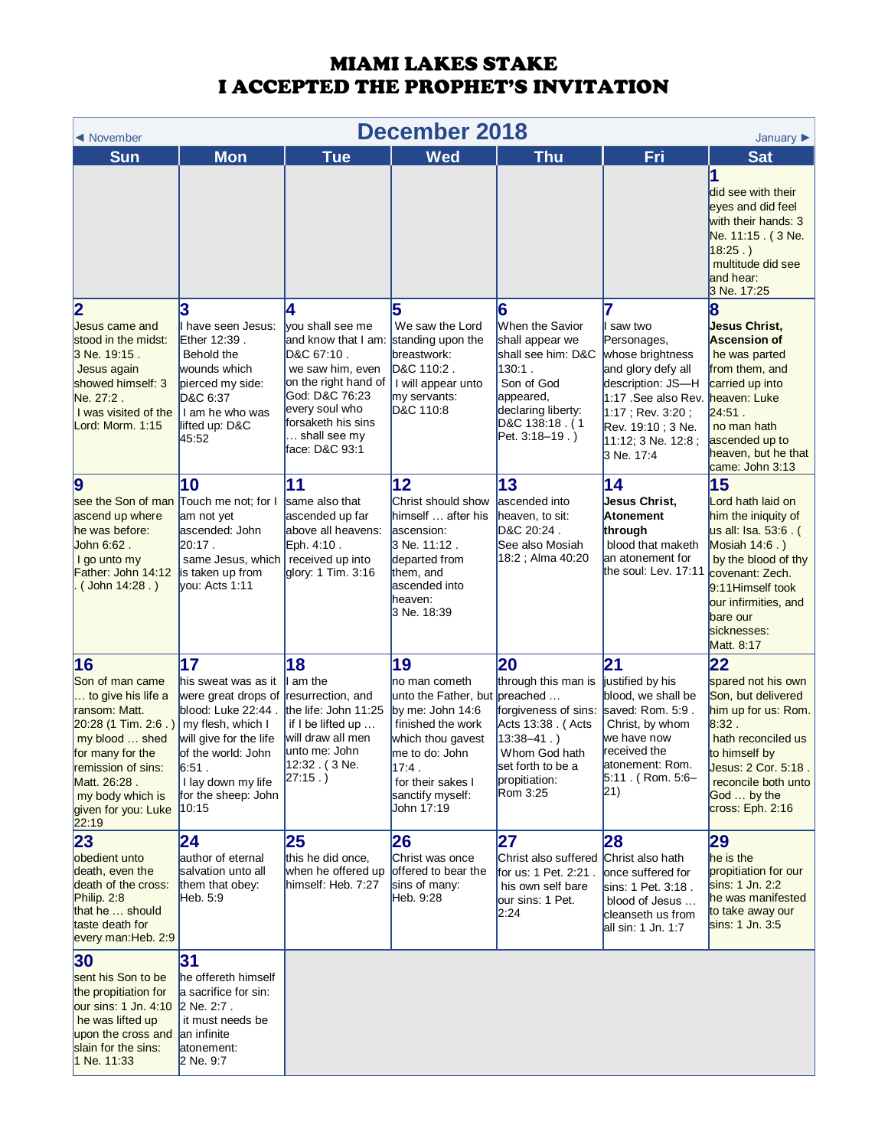| <b>December 2018</b><br>◀ November<br>January $\blacktriangleright$                                                                                                                                                   |                                                                                                                                                                                                            |                                                                                                                                                                                                                       |                                                                                                                                                                                               |                                                                                                                                                                           |                                                                                                                                                                                               |                                                                                                                                                                                                                          |
|-----------------------------------------------------------------------------------------------------------------------------------------------------------------------------------------------------------------------|------------------------------------------------------------------------------------------------------------------------------------------------------------------------------------------------------------|-----------------------------------------------------------------------------------------------------------------------------------------------------------------------------------------------------------------------|-----------------------------------------------------------------------------------------------------------------------------------------------------------------------------------------------|---------------------------------------------------------------------------------------------------------------------------------------------------------------------------|-----------------------------------------------------------------------------------------------------------------------------------------------------------------------------------------------|--------------------------------------------------------------------------------------------------------------------------------------------------------------------------------------------------------------------------|
| <b>Sun</b>                                                                                                                                                                                                            | <b>Mon</b>                                                                                                                                                                                                 | <b>Tue</b>                                                                                                                                                                                                            | <b>Wed</b>                                                                                                                                                                                    | <b>Thu</b>                                                                                                                                                                | Fri                                                                                                                                                                                           | <b>Sat</b>                                                                                                                                                                                                               |
|                                                                                                                                                                                                                       |                                                                                                                                                                                                            |                                                                                                                                                                                                                       |                                                                                                                                                                                               |                                                                                                                                                                           |                                                                                                                                                                                               | did see with their<br>eyes and did feel<br>with their hands: 3<br>Ne. 11:15. (3 Ne.<br>18:25.<br>multitude did see<br>and hear:<br>3 Ne. 17:25                                                                           |
| $\overline{\mathbf{2}}$<br>Jesus came and<br>stood in the midst:<br>3 Ne. 19:15.<br>Jesus again<br>showed himself: 3<br>Ne. 27:2.<br>I was visited of the<br>Lord: Morm. 1:15                                         | 3<br>have seen Jesus:<br>Ether 12:39.<br>Behold the<br>wounds which<br>pierced my side:<br>D&C 6:37<br>I am he who was<br>lifted up: D&C<br>45:52                                                          | 14<br>vou shall see me<br>and know that I am: standing upon the<br>D&C 67:10.<br>we saw him, even<br>on the right hand of<br>God: D&C 76:23<br>every soul who<br>forsaketh his sins<br>shall see my<br>face: D&C 93:1 | 5<br>We saw the Lord<br>breastwork:<br>D&C 110:2.<br>I will appear unto<br>my servants:<br>D&C 110:8                                                                                          | 6<br>When the Savior<br>shall appear we<br>shall see him: D&C<br>130:1.<br>Son of God<br>appeared,<br>declaring liberty:<br>D&C 138:18. (1<br>Pet. 3:18-19.)              | saw two<br>Personages,<br>whose brightness<br>and glory defy all<br>description: JS-H<br>1:17 .See also Rev.<br>$1:17$ ; Rev. 3:20;<br>Rev. 19:10; 3 Ne.<br>11:12: 3 Ne. 12:8 :<br>3 Ne. 17:4 | <b>Jesus Christ,</b><br><b>Ascension of</b><br>he was parted<br>from them, and<br>carried up into<br>heaven: Luke<br>24.51.<br>no man hath<br>ascended up to<br>heaven, but he that<br>came: John 3:13                   |
| $\boldsymbol{9}$<br>see the Son of man<br>ascend up where<br>he was before:<br>John 6:62.<br>I go unto my<br>Father: John 14:12<br>$($ John 14:28.)                                                                   | 10<br>Touch me not; for I<br>am not yet<br>ascended: John<br>$20:17$ .<br>same Jesus, which<br>is taken up from<br>vou: Acts 1:11                                                                          | 11<br>same also that<br>ascended up far<br>above all heavens:<br>Eph. 4:10.<br>received up into<br>glory: 1 Tim. 3:16                                                                                                 | 12<br>Christ should show<br>himself  after his<br>ascension:<br>3 Ne. 11:12.<br>departed from<br>them, and<br>ascended into<br>heaven:<br>3 Ne. 18:39                                         | 13<br>ascended into<br>heaven, to sit:<br>D&C 20:24.<br>See also Mosiah<br>18:2; Alma 40:20                                                                               | 14<br>Jesus Christ,<br><b>Atonement</b><br>through<br>blood that maketh<br>an atonement for<br>the soul: Lev. 17:11                                                                           | 15<br>Lord hath laid on<br>him the iniquity of<br>us all: Isa. 53:6 . (<br>Mosiah 14:6.)<br>by the blood of thy<br>covenant: Zech.<br>9:11 Himself took<br>our infirmities, and<br>bare our<br>sicknesses:<br>Matt. 8:17 |
| 16<br>Son of man came<br>to give his life a<br>ransom: Matt.<br>$20:28(1)$ Tim. 2:6.)<br>my blood  shed<br>for many for the<br>remission of sins:<br>Matt. 26:28.<br>my body which is<br>given for you: Luke<br>22:19 | 17<br>his sweat was as it<br>were great drops of<br>blood: Luke 22:44.<br>my flesh, which I<br>will give for the life<br>of the world: John<br>6:51.<br>I lay down my life<br>for the sheep: John<br>10:15 | 18<br>am the<br>resurrection, and<br>the life: John 11:25<br>if I be lifted up<br>will draw all men<br>unto me: John<br>12:32. (3 Ne.<br>$27:15.$ )                                                                   | 19<br>no man cometh<br>unto the Father, but<br>by me: John $14:6$<br>finished the work<br>which thou gavest<br>me to do: John<br>17:4.<br>for their sakes I<br>sanctify myself:<br>John 17:19 | 20<br>through this man is<br>preached<br>forgiveness of sins:<br>Acts 13:38 . (Acts<br>$13:38 - 41.$ )<br>Whom God hath<br>set forth to be a<br>propitiation:<br>Rom 3:25 | $\mathbf{21}$<br>justified by his<br>blood, we shall be<br>saved: Rom. 5:9.<br>Christ, by whom<br>we have now<br>received the<br>atonement: Rom.<br>$5:11$ . (Rom. 5:6-<br>$ 21\rangle$       | 22<br>spared not his own<br>Son, but delivered<br>him up for us: Rom.<br>8.32.<br>hath reconciled us<br>to himself by<br>Jesus: 2 Cor. 5:18.<br>reconcile both unto<br>God  by the<br>cross: Eph. 2:16                   |
| 23<br>obedient unto<br>death, even the<br>death of the cross:<br>Philip. 2:8<br>that he  should<br>taste death for<br>every man: Heb. 2:9                                                                             | 24<br>author of eternal<br>salvation unto all<br>them that obey:<br>Heb. 5:9                                                                                                                               | 25<br>this he did once,<br>when he offered up<br>himself: Heb. 7:27                                                                                                                                                   | 26<br>Christ was once<br>offered to bear the<br>sins of many:<br>Heb. 9:28                                                                                                                    | 27<br>Christ also suffered<br>for us: 1 Pet. 2:21.<br>his own self bare<br>our sins: 1 Pet.<br>2:24                                                                       | 28<br>Christ also hath<br>once suffered for<br>sins: 1 Pet. 3:18.<br>blood of Jesus<br>cleanseth us from<br>all sin: 1 Jn. 1:7                                                                | 29<br>he is the<br>propitiation for our<br>sins: 1 Jn. 2:2<br>he was manifested<br>to take away our<br>sins: 1 Jn. 3:5                                                                                                   |
| 30<br>sent his Son to be<br>the propitiation for<br>our sins: 1 Jn. 4:10<br>he was lifted up<br>upon the cross and<br>slain for the sins:<br>1 Ne. 11:33                                                              | 31<br>he offereth himself<br>a sacrifice for sin:<br>2 Ne. 2:7.<br>it must needs be<br>an infinite<br>atonement:<br>2 Ne. 9:7                                                                              |                                                                                                                                                                                                                       |                                                                                                                                                                                               |                                                                                                                                                                           |                                                                                                                                                                                               |                                                                                                                                                                                                                          |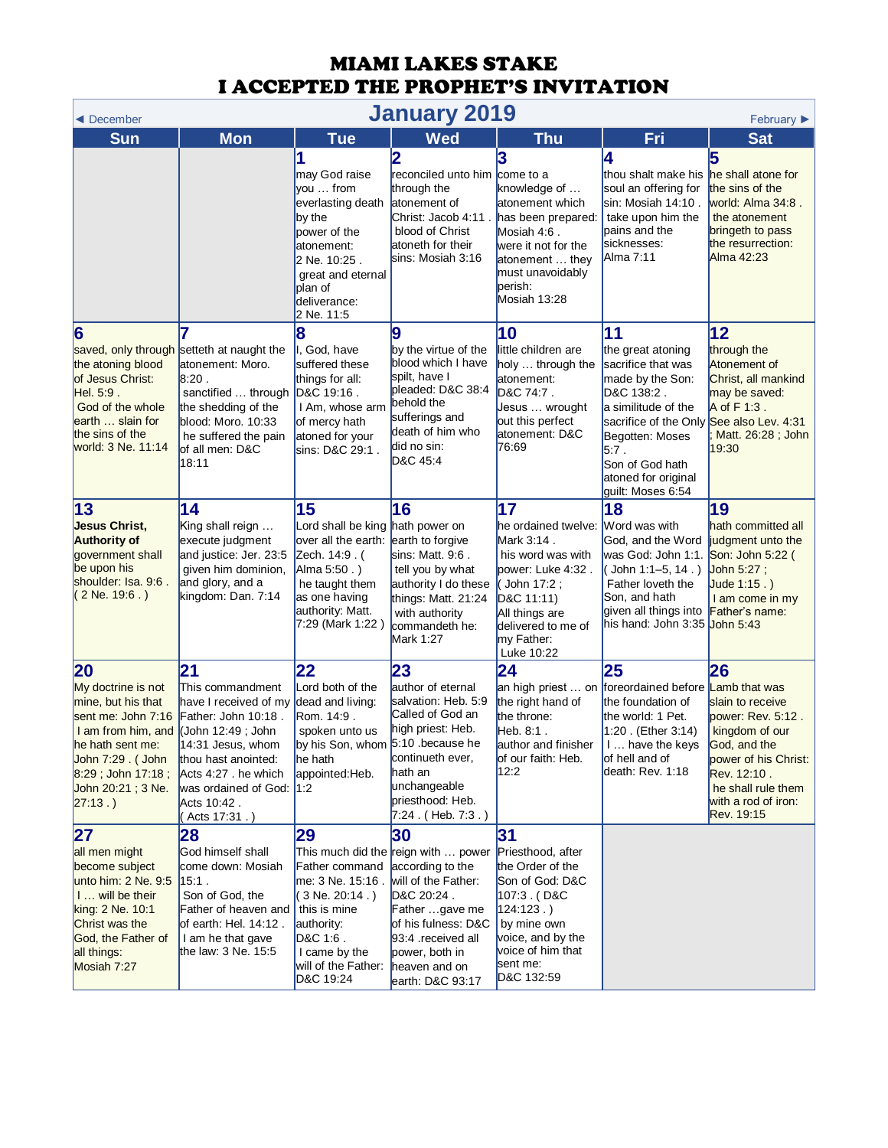<span id="page-4-0"></span>

| <b>January 2019</b><br>February $\blacktriangleright$<br>◀ December                                                                                                                            |                                                                                                                                                                                                                            |                                                                                                                                                                          |                                                                                                                                                                                                                         |                                                                                                                                                                                                  |                                                                                                                                                                                                                                                 |                                                                                                                                                                                                  |  |
|------------------------------------------------------------------------------------------------------------------------------------------------------------------------------------------------|----------------------------------------------------------------------------------------------------------------------------------------------------------------------------------------------------------------------------|--------------------------------------------------------------------------------------------------------------------------------------------------------------------------|-------------------------------------------------------------------------------------------------------------------------------------------------------------------------------------------------------------------------|--------------------------------------------------------------------------------------------------------------------------------------------------------------------------------------------------|-------------------------------------------------------------------------------------------------------------------------------------------------------------------------------------------------------------------------------------------------|--------------------------------------------------------------------------------------------------------------------------------------------------------------------------------------------------|--|
| Sun                                                                                                                                                                                            | <b>Mon</b>                                                                                                                                                                                                                 | <b>Tue</b>                                                                                                                                                               | <b>Wed</b>                                                                                                                                                                                                              | <b>Thu</b>                                                                                                                                                                                       | Fri                                                                                                                                                                                                                                             | <b>Sat</b>                                                                                                                                                                                       |  |
|                                                                                                                                                                                                |                                                                                                                                                                                                                            | may God raise<br>vou  from<br>everlasting death<br>by the<br>power of the<br>latonement:<br>2 Ne. 10:25.<br>great and eternal<br>plan of<br>deliverance:<br>2 Ne. 11:5   | 2<br>reconciled unto him come to a<br>through the<br>atonement of<br>Christ: Jacob 4:11<br>blood of Christ<br>atoneth for their<br>lsins: Mosiah 3:16                                                                   | 3<br>knowledge of<br>atonement which<br>has been prepared:<br>Mosiah 4:6.<br>were it not for the<br>atonement  they<br>must unavoidably<br>perish:<br>Mosiah 13:28                               | 4<br>thou shalt make his<br>soul an offering for<br>sin: Mosiah 14:10 .<br>take upon him the<br>pains and the<br>sicknesses:<br>Alma 7:11                                                                                                       | 5<br>he shall atone for<br>the sins of the<br>world: Alma 34:8.<br>the atonement<br>bringeth to pass<br>the resurrection:<br>Alma 42:23                                                          |  |
| 6<br>the atoning blood<br>of Jesus Christ:<br>Hel. 5:9.<br>God of the whole<br>earth  slain for<br>the sins of the<br>world: 3 Ne. 11:14                                                       | 7<br>saved, only through setteth at naught the<br>atonement: Moro.<br>8:20.<br>sanctified  through<br>the shedding of the<br>blood: Moro. 10:33<br>he suffered the pain<br>of all men: D&C<br>18:11                        | 8<br>I, God, have<br>suffered these<br>things for all:<br>D&C 19:16.<br>I Am, whose arm<br>of mercy hath<br>atoned for your<br>sins: D&C 29:1.                           | 9<br>by the virtue of the<br>blood which I have<br>spilt, have I<br>pleaded: D&C 38:4<br>behold the<br>sufferings and<br>death of him who<br>did no sin:<br>D&C 45:4                                                    | 10<br>little children are<br>holy  through the<br>atonement:<br>D&C 74:7.<br>Jesus  wrought<br>out this perfect<br>atonement: D&C<br>76:69                                                       | 11<br>the great atoning<br>sacrifice that was<br>made by the Son:<br>D&C 138:2.<br>a similitude of the<br>sacrifice of the Only See also Lev. 4:31<br>Begotten: Moses<br>$5.7$ .<br>Son of God hath<br>atoned for original<br>guilt: Moses 6:54 | 12<br>through the<br>Atonement of<br>Christ, all mankind<br>may be saved:<br>A of F 1:3.<br>Matt. 26:28; John<br>19:30                                                                           |  |
| 13<br><b>Jesus Christ,</b><br><b>Authority of</b><br>government shall<br>be upon his<br>shoulder: Isa. 9:6.<br>$(2$ Ne. 19:6.)                                                                 | $\overline{14}$<br>King shall reign<br>execute judgment<br>and justice: Jer. 23:5<br>given him dominion,<br>and glory, and a<br>kingdom: Dan. 7:14                                                                         | 15<br>Lord shall be king hath power on<br>over all the earth:<br>Zech. 14:9. (<br>Alma 5:50.)<br>he taught them<br>as one having<br>authority: Matt.<br>7:29 (Mark 1:22) | 16<br>earth to forgive<br>sins: Matt. 9:6.<br>tell you by what<br>authority I do these<br>things: Matt. 21:24<br>with authority<br>commandeth he:<br>Mark 1:27                                                          | 17<br>he ordained twelve: Word was with<br>Mark 3:14.<br>his word was with<br>power: Luke 4:32.<br>(John 17:2;<br>D&C 11:11)<br>All things are<br>delivered to me of<br>my Father:<br>Luke 10:22 | 18<br>God, and the Word<br>was God: John 1:1.<br>(John 1:1-5, 14.)<br>Father loveth the<br>Son, and hath<br>given all things into Father's name:<br>his hand: John 3:35 <mark>John 5:43</mark>                                                  | 19<br>hath committed all<br>judgment unto the<br>Son: John 5:22 (<br>John 5:27;<br>Jude 1:15.)<br>I am come in my                                                                                |  |
| 20<br>My doctrine is not<br>mine, but his that<br>sent me: John 7:16<br>I am from him, and<br>he hath sent me:<br>John 7:29. (John<br>$8:29$ ; John 17:18;<br>John 20:21 ; 3 Ne.<br>$27:13.$ ) | 21<br>This commandment<br>have I received of my<br>Father: John 10:18.<br>(John 12:49; John<br>14:31 Jesus, whom<br>thou hast anointed:<br>Acts 4:27 . he which<br>was ordained of God: 1:2<br>Acts 10:42.<br>Acts 17:31.) | 22<br>Lord both of the<br>dead and living:<br>Rom. 14:9.<br>spoken unto us<br>by his Son, whom 5:10 .because he<br>he hath<br>appointed:Heb.                             | 23<br>author of eternal<br>salvation: Heb. 5:9<br>Called of God an<br>high priest: Heb.<br>continueth ever,<br>hath an<br>unchangeable<br>priesthood: Heb.<br>$7:24$ . (Heb. $7:3$ .)                                   | 24<br>the right hand of<br>the throne:<br>Heb. 8:1.<br>author and finisher<br>of our faith: Heb.<br>12:2                                                                                         | 25<br>an high priest  on foreordained before<br>the foundation of<br>the world: 1 Pet.<br>1:20 . (Ether 3:14)<br>1 have the keys<br>of hell and of<br>death: Rev. 1:18                                                                          | 26<br>Lamb that was<br>slain to receive<br>power: Rev. 5:12.<br>kingdom of our<br>God, and the<br>power of his Christ:<br>Rev. 12:10.<br>he shall rule them<br>with a rod of iron:<br>Rev. 19:15 |  |
| 27<br>all men might<br>become subject<br>unto him: 2 Ne. 9:5<br>I  will be their<br>king: 2 Ne. 10:1<br>Christ was the<br>God, the Father of<br>all things:<br>Mosiah 7:27                     | 28<br>God himself shall<br>come down: Mosiah<br>$15:1$ .<br>Son of God, the<br>Father of heaven and<br>of earth: Hel. 14:12.<br>I am he that gave<br>the law: 3 Ne. 15:5                                                   | 29<br>Father command<br>me: 3 Ne. 15:16 .<br>3 Ne. 20:14 . )<br>this is mine<br>authority:<br>D&C 1:6.<br>I came by the<br>will of the Father:<br>D&C 19:24              | 30<br>This much did the reign with  power<br>according to the<br>will of the Father:<br>D&C 20:24.<br>Father gave me<br>of his fulness: D&C<br>93:4 received all<br>power, both in<br>heaven and on<br>earth: D&C 93:17 | 31<br>Priesthood, after<br>the Order of the<br>Son of God: D&C<br>107:3. (D&C<br>$124:123.$ )<br>by mine own<br>voice, and by the<br>voice of him that<br>sent me:<br>D&C 132:59                 |                                                                                                                                                                                                                                                 |                                                                                                                                                                                                  |  |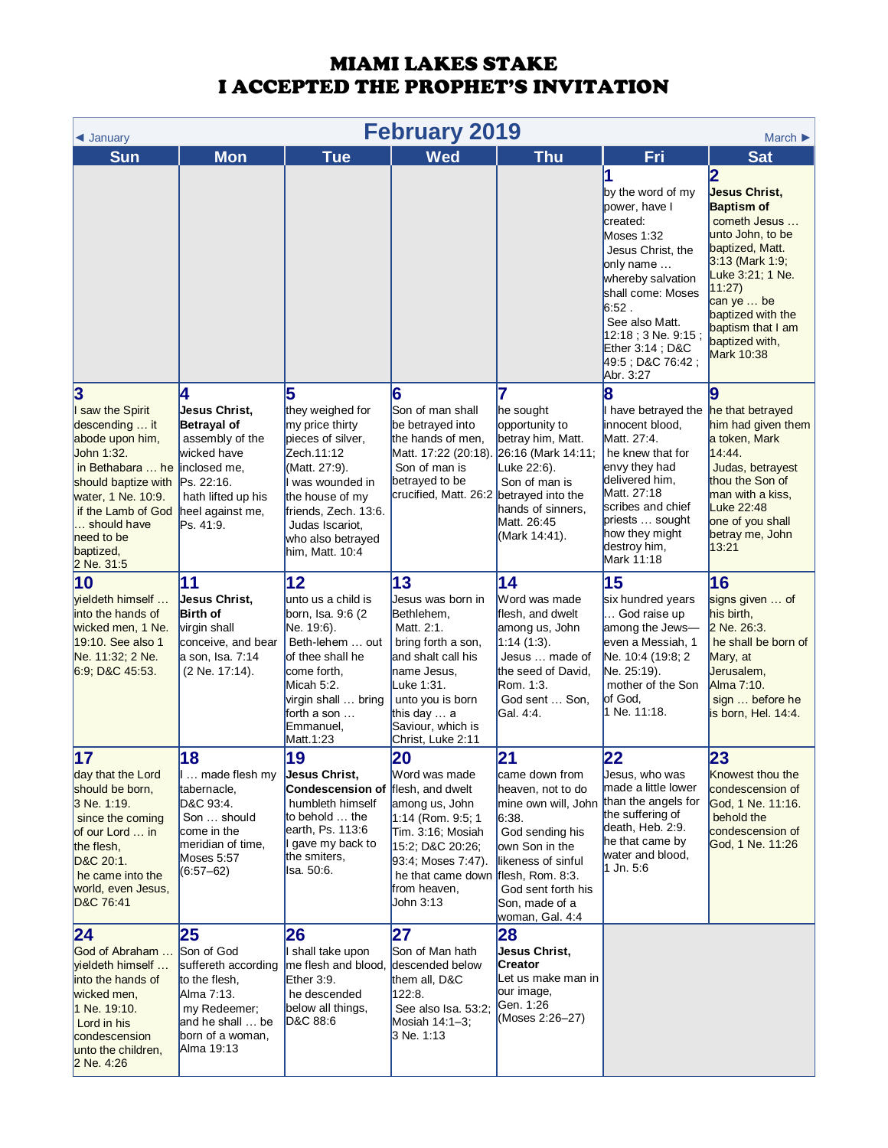| <b>February 2019</b><br>March $\blacktriangleright$<br>$\triangleleft$ January                                                                                                                                                                |                                                                                                                                                          |                                                                                                                                                                                                                      |                                                                                                                                                                                                                  |                                                                                                                                                                                                                     |                                                                                                                                                                                                                                                           |                                                                                                                                                                                                                                                         |  |
|-----------------------------------------------------------------------------------------------------------------------------------------------------------------------------------------------------------------------------------------------|----------------------------------------------------------------------------------------------------------------------------------------------------------|----------------------------------------------------------------------------------------------------------------------------------------------------------------------------------------------------------------------|------------------------------------------------------------------------------------------------------------------------------------------------------------------------------------------------------------------|---------------------------------------------------------------------------------------------------------------------------------------------------------------------------------------------------------------------|-----------------------------------------------------------------------------------------------------------------------------------------------------------------------------------------------------------------------------------------------------------|---------------------------------------------------------------------------------------------------------------------------------------------------------------------------------------------------------------------------------------------------------|--|
| <b>Sun</b>                                                                                                                                                                                                                                    | <b>Mon</b>                                                                                                                                               | <b>Tue</b>                                                                                                                                                                                                           | <b>Wed</b>                                                                                                                                                                                                       | <b>Thu</b>                                                                                                                                                                                                          | Fri                                                                                                                                                                                                                                                       | <b>Sat</b>                                                                                                                                                                                                                                              |  |
|                                                                                                                                                                                                                                               |                                                                                                                                                          |                                                                                                                                                                                                                      |                                                                                                                                                                                                                  |                                                                                                                                                                                                                     | 1<br>by the word of my<br>power, have I<br>created:<br>Moses 1:32<br>Jesus Christ, the<br>only name<br>whereby salvation<br>shall come: Moses<br>6:52.<br>See also Matt.<br>12:18 ; 3 Ne. 9:15 ;<br>Ether $3.14$ ; D&C<br>49:5 ; D&C 76:42 ;<br>Abr. 3:27 | 2<br><b>Jesus Christ,</b><br><b>Baptism of</b><br>cometh Jesus<br>unto John, to be<br>baptized, Matt.<br>$3:13$ (Mark 1:9;<br>Luke 3:21; 1 Ne.<br>11:27<br>can ye $\ldots$ be<br>baptized with the<br>baptism that I am<br>baptized with,<br>Mark 10:38 |  |
| $\overline{\mathbf{3}}$<br>I saw the Spirit<br>descending  it<br>abode upon him,<br>John 1:32.<br>in Bethabara  he<br>should baptize with<br>water, 1 Ne. 10:9.<br>if the Lamb of God<br>should have<br>need to be<br>baptized,<br>2 Ne. 31:5 | 4<br>Jesus Christ,<br>Betrayal of<br>assembly of the<br>wicked have<br>inclosed me,<br>Ps. 22:16.<br>hath lifted up his<br>heel against me,<br>Ps. 41:9. | 5<br>they weighed for<br>my price thirty<br>pieces of silver,<br>Zech.11:12<br>(Matt. 27:9).<br>was wounded in<br>the house of my<br>friends, Zech. 13:6.<br>Judas Iscariot,<br>who also betrayed<br>him, Matt. 10:4 | 6<br>Son of man shall<br>be betrayed into<br>the hands of men,<br>Matt. 17:22 (20:18).<br>Son of man is<br>betrayed to be<br>crucified, Matt. 26:2                                                               | 7<br>he sought<br>opportunity to<br>betray him, Matt.<br>26:16 (Mark 14:11;<br>Luke 22:6).<br>Son of man is<br>betrayed into the<br>hands of sinners,<br>Matt. 26:45<br>(Mark 14:41).                               | 8<br>I have betrayed the<br>innocent blood,<br>Matt. 27:4.<br>he knew that for<br>envy they had<br>delivered him,<br>Matt. 27:18<br>scribes and chief<br>priests  sought<br>how they might<br>destroy him,<br>Mark 11:18                                  | 9<br>he that betrayed<br>him had given them<br>a token, Mark<br>14:44.<br>Judas, betrayest<br>thou the Son of<br>man with a kiss,<br>Luke 22:48<br>one of you shall<br>betray me, John<br>13:21                                                         |  |
| 10<br>vieldeth himself<br>into the hands of<br>wicked men, 1 Ne.<br>19:10. See also 1<br>Ne. 11:32; 2 Ne.<br>6.9, D&C 45.53.                                                                                                                  | 11<br>Jesus Christ,<br><b>Birth of</b><br>virgin shall<br>conceive, and bear<br>a son, Isa. 7:14<br>(2 Ne. 17:14).                                       | 12<br>unto us a child is<br>born, Isa. 9:6 (2)<br>Ne. 19:6).<br>Beth-lehem  out<br>of thee shall he<br>come forth,<br>Micah 5:2.<br>virgin shall  bring<br>forth a son<br>Emmanuel,<br>Matt.1:23                     | 13<br>Jesus was born in<br>Bethlehem,<br>Matt. 2:1.<br>bring forth a son,<br>and shalt call his<br>name Jesus,<br>Luke 1:31.<br>unto you is born<br>this day $\dots$ a<br>Saviour, which is<br>Christ, Luke 2:11 | 14<br>Word was made<br>flesh, and dwelt<br>among us, John<br>1:14(1:3).<br>Jesus  made of<br>the seed of David,<br>Rom. 1:3.<br>God sent  Son,<br>Gal. 4:4.                                                         | 15<br>six hundred years<br>God raise up<br>among the Jews-<br>even a Messiah, 1<br>Ne. 10:4 (19:8; 2<br>Ne. 25:19).<br>mother of the Son<br>of God.<br>1 Ne. 11:18.                                                                                       | 16<br>signs given  of<br>his birth,<br>2 Ne. 26:3.<br>he shall be born of<br>Mary, at<br>Jerusalem,<br>Alma 7:10.<br>sign  before he<br>is born, Hel. 14:4.                                                                                             |  |
| 17<br>day that the Lord<br>should be born,<br>3 Ne. 1:19.<br>since the coming<br>of our Lord  in<br>the flesh,<br>D&C 20:1.<br>he came into the<br>world, even Jesus,<br>D&C 76:41                                                            | 18<br>made flesh my<br>tabernacle,<br>D&C 93:4.<br>Son  should<br>come in the<br>meridian of time,<br>Moses 5:57<br>$(6:57 - 62)$                        | 19<br><b>Jesus Christ,</b><br><b>Condescension of</b><br>humbleth himself<br>to behold $\dots$ the<br>earth, Ps. 113:6<br>gave my back to<br>the smiters,<br>lsa. 50:6.                                              | 20<br>Word was made<br>flesh, and dwelt<br>among us, John<br>1:14 (Rom. 9:5; 1<br>Tim. 3:16; Mosiah<br>15:2; D&C 20:26;<br>93:4; Moses 7:47).<br>he that came down<br>from heaven,<br>John 3:13                  | 21<br>came down from<br>heaven, not to do<br>mine own will, John<br>6:38.<br>God sending his<br>own Son in the<br>likeness of sinful<br>flesh, Rom. 8:3.<br>God sent forth his<br>Son, made of a<br>woman, Gal. 4:4 | 22<br>Jesus, who was<br>made a little lower<br>than the angels for<br>the suffering of<br>death, Heb. 2:9.<br>he that came by<br>water and blood,<br>$1$ Jn. 5:6                                                                                          | 23<br>Knowest thou the<br>condescension of<br>God, 1 Ne. 11:16.<br>behold the<br>condescension of<br>God, 1 Ne. 11:26                                                                                                                                   |  |
| 24<br>God of Abraham<br><b>yieldeth himself</b><br>into the hands of<br>wicked men,<br>1 Ne. 19:10.<br>Lord in his<br>condescension<br>unto the children,<br>2 Ne. 4:26                                                                       | 25<br>Son of God<br>suffereth according<br>to the flesh,<br>Alma 7:13.<br>my Redeemer;<br>and he shall  be<br>born of a woman,<br>Alma 19:13             | 26<br>shall take upon<br>me flesh and blood,<br>Ether $3:9$ .<br>he descended<br>below all things,<br>D&C 88:6                                                                                                       | 27<br>Son of Man hath<br>descended below<br>them all, D&C<br>122:8.<br>See also Isa. 53:2;<br>Mosiah 14:1-3;<br>3 Ne. 1:13                                                                                       | 28<br>Jesus Christ,<br>Creator<br>Let us make man in<br>our image,<br>Gen. 1:26<br>(Moses 2:26-27)                                                                                                                  |                                                                                                                                                                                                                                                           |                                                                                                                                                                                                                                                         |  |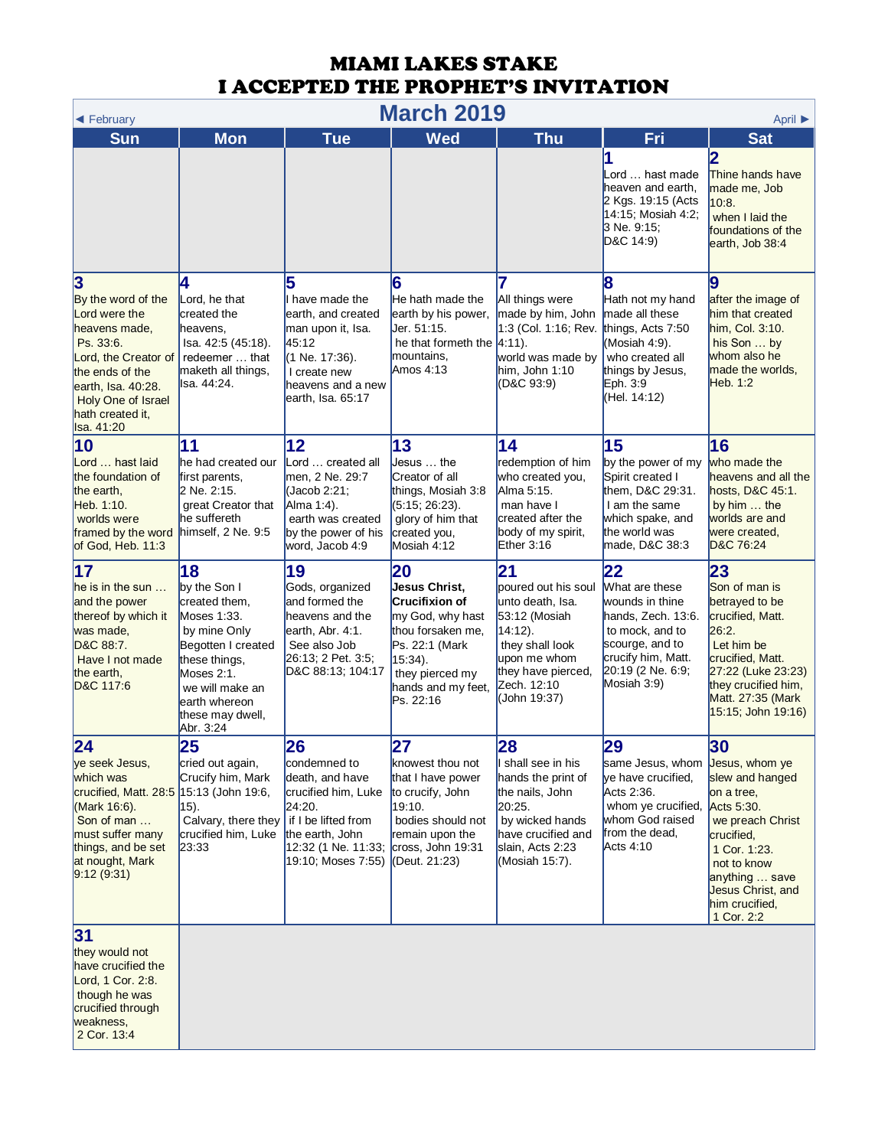| <b>March 2019</b><br>April ▶<br>◀ February                                                                                                                                                                                   |                                                                                                                                                                                              |                                                                                                                                                      |                                                                                                                                                                          |                                                                                                                                                                      |                                                                                                                                                                            |                                                                                                                                                                                                             |  |
|------------------------------------------------------------------------------------------------------------------------------------------------------------------------------------------------------------------------------|----------------------------------------------------------------------------------------------------------------------------------------------------------------------------------------------|------------------------------------------------------------------------------------------------------------------------------------------------------|--------------------------------------------------------------------------------------------------------------------------------------------------------------------------|----------------------------------------------------------------------------------------------------------------------------------------------------------------------|----------------------------------------------------------------------------------------------------------------------------------------------------------------------------|-------------------------------------------------------------------------------------------------------------------------------------------------------------------------------------------------------------|--|
| <b>Sun</b>                                                                                                                                                                                                                   | <b>Mon</b>                                                                                                                                                                                   | <b>Tue</b>                                                                                                                                           | <b>Wed</b>                                                                                                                                                               | <b>Thu</b>                                                                                                                                                           | Fri                                                                                                                                                                        | <b>Sat</b>                                                                                                                                                                                                  |  |
|                                                                                                                                                                                                                              |                                                                                                                                                                                              |                                                                                                                                                      |                                                                                                                                                                          |                                                                                                                                                                      | Lord  hast made<br>heaven and earth,<br>2 Kgs. 19:15 (Acts<br>14:15; Mosiah 4:2;<br>3 Ne. 9:15;<br>D&C 14:9)                                                               | Thine hands have<br>made me, Job<br>10.8.<br>when I laid the<br>foundations of the<br>earth, Job 38:4                                                                                                       |  |
| $\overline{\mathbf{3}}$<br>By the word of the<br>Lord were the<br>heavens made,<br>Ps. 33.6.<br>Lord, the Creator of<br>the ends of the<br>earth, Isa. 40:28.<br><b>Holy One of Israel</b><br>hath created it,<br>Isa. 41:20 | 4<br>Lord, he that<br>created the<br>heavens.<br>Isa. 42:5 (45:18).<br>redeemer  that<br>maketh all things,<br>lsa. 44:24.                                                                   | 5<br>I have made the<br>earth, and created<br>man upon it, Isa.<br>45:12<br>(1 Ne. 17:36).<br>I create new<br>heavens and a new<br>earth, Isa. 65:17 | 6<br>He hath made the<br>earth by his power,<br>Jer. 51:15.<br>he that formeth the $ 4.11$ .<br>mountains,<br>Amos 4:13                                                  | 7<br>All things were<br>made by him, John<br>1:3 (Col. 1:16; Rev.<br>world was made by<br>him, John 1:10<br>(D&C 93:9)                                               | 8<br>Hath not my hand<br>made all these<br>things, Acts 7:50<br>(Mosiah 4:9).<br>who created all<br>things by Jesus,<br>Eph. 3:9<br>(Hel. 14:12)                           | 9<br>after the image of<br>him that created<br>him, Col. 3:10.<br>his Son  by<br>whom also he<br>made the worlds,<br>Heb. 1:2                                                                               |  |
| 10<br>Lord  hast laid<br>the foundation of<br>the earth,<br>Heb. 1:10.<br>worlds were<br>framed by the word<br>of God, Heb. 11:3                                                                                             | 11<br>he had created our<br>first parents,<br>2 Ne. 2:15.<br>great Creator that<br>he suffereth<br>himself, 2 Ne. 9:5                                                                        | 12<br>Lord  created all<br>men. 2 Ne. 29:7<br>(Jacob 2:21;<br>Alma 1:4).<br>earth was created<br>by the power of his<br>word, Jacob 4:9              | 13<br>Jesus  the<br>Creator of all<br>things, Mosiah 3:8<br>(5:15; 26:23).<br>glory of him that<br>created you,<br>Mosiah 4:12                                           | 14<br>redemption of him<br>who created you,<br>Alma 5:15.<br>man have I<br>created after the<br>body of my spirit,<br>Ether 3:16                                     | 15<br>by the power of my<br>Spirit created I<br>them. D&C 29:31.<br>I am the same<br>which spake, and<br>the world was<br>made, D&C 38:3                                   | 16<br>who made the<br>heavens and all the<br>hosts, D&C 45:1.<br>by him  the<br>worlds are and<br>were created,<br>D&C 76:24                                                                                |  |
| 17<br>$he$ is in the sun $\ldots$<br>and the power<br>thereof by which it<br>was made,<br>D&C 88:7.<br>Have I not made<br>the earth.<br>D&C 117:6                                                                            | 18<br>by the Son I<br>created them,<br>Moses 1:33.<br>by mine Only<br>Begotten I created<br>these things,<br>Moses 2:1.<br>we will make an<br>earth whereon<br>these may dwell,<br>Abr. 3:24 | 19<br>Gods, organized<br>and formed the<br>heavens and the<br>earth, Abr. 4:1.<br>See also Job<br>26:13; 2 Pet. 3:5;<br>D&C 88:13; 104:17            | 20<br>Jesus Christ,<br><b>Crucifixion of</b><br>my God, why hast<br>thou forsaken me,<br>Ps. 22:1 (Mark<br>15:34).<br>they pierced my<br>hands and my feet,<br>Ps. 22:16 | 21<br>poured out his soul<br>unto death, Isa.<br>53:12 (Mosiah<br>$14:12$ ).<br>they shall look<br>upon me whom<br>they have pierced,<br>Zech. 12:10<br>(John 19:37) | $\overline{22}$<br>What are these<br>wounds in thine<br>hands, Zech. 13:6.<br>to mock, and to<br>scourge, and to<br>crucify him, Matt.<br>20:19 (2 Ne. 6:9;<br>Mosiah 3:9) | 23<br>Son of man is<br>betrayed to be<br>crucified, Matt.<br>26:2.<br>Let him be<br>crucified, Matt.<br>27:22 (Luke 23:23)<br>they crucified him,<br>Matt. 27:35 (Mark<br>15:15; John 19:16)                |  |
| 24<br>ye seek Jesus,<br>which was<br>crucified, Matt. 28:5 15:13 (John 19:6,<br>(Mark 16:6).<br>Son of man<br>must suffer many<br>things, and be set<br>at nought, Mark<br>9.12(9.31)                                        | 25<br>cried out again,<br>Crucify him, Mark<br>$(15)$ .<br>Calvary, there they $\vert$ if I be lifted from<br>crucified him, Luke<br>23:33                                                   | 26<br>condemned to<br>death, and have<br>crucified him, Luke<br>24:20.<br>the earth, John<br>12:32 (1 Ne. 11:33;<br>19:10; Moses 7:55)               | 27<br>knowest thou not<br>that I have power<br>to crucify, John<br>19:10.<br>bodies should not<br>remain upon the<br>cross, John 19:31<br>(Deut. 21:23)                  | 28<br>I shall see in his<br>hands the print of<br>the nails, John<br>20:25.<br>by wicked hands<br>have crucified and<br>slain, Acts 2:23<br>(Mosiah 15:7).           | 29<br>same Jesus, whom<br>ye have crucified,<br>Acts 2:36.<br>whom ye crucified,<br>whom God raised<br>from the dead,<br>Acts 4:10                                         | 30<br>Jesus, whom ye<br>slew and hanged<br>on a tree,<br>Acts 5:30.<br>we preach Christ<br>crucified,<br>1 Cor. 1:23.<br>not to know<br>anything  save<br>Jesus Christ, and<br>him crucified,<br>1 Cor. 2:2 |  |
| 31<br>they would not<br>have crucified the<br>Lord, 1 Cor. 2:8.<br>though he was<br>crucified through<br>weakness,<br>2 Cor. 13:4                                                                                            |                                                                                                                                                                                              |                                                                                                                                                      |                                                                                                                                                                          |                                                                                                                                                                      |                                                                                                                                                                            |                                                                                                                                                                                                             |  |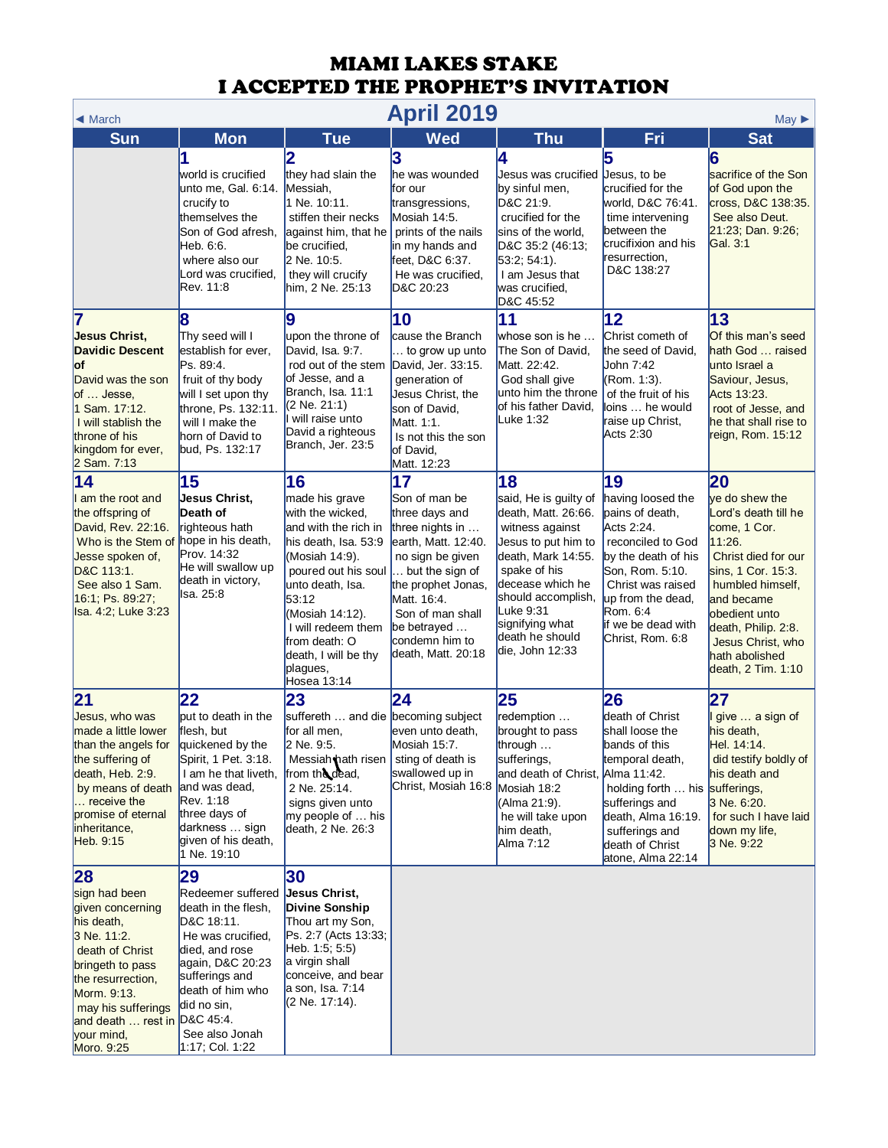| <b>April 2019</b><br>$May \triangleright$<br>$\triangleleft$ March                                                                                                                                                                |                                                                                                                                                                                                                    |                                                                                                                                                                                                                                                                             |                                                                                                                                                                                                                                        |                                                                                                                                                                                                                                                    |                                                                                                                                                                                                                         |                                                                                                                                                                                                                                                            |  |
|-----------------------------------------------------------------------------------------------------------------------------------------------------------------------------------------------------------------------------------|--------------------------------------------------------------------------------------------------------------------------------------------------------------------------------------------------------------------|-----------------------------------------------------------------------------------------------------------------------------------------------------------------------------------------------------------------------------------------------------------------------------|----------------------------------------------------------------------------------------------------------------------------------------------------------------------------------------------------------------------------------------|----------------------------------------------------------------------------------------------------------------------------------------------------------------------------------------------------------------------------------------------------|-------------------------------------------------------------------------------------------------------------------------------------------------------------------------------------------------------------------------|------------------------------------------------------------------------------------------------------------------------------------------------------------------------------------------------------------------------------------------------------------|--|
| <b>Sun</b>                                                                                                                                                                                                                        | <b>Mon</b>                                                                                                                                                                                                         | <b>Tue</b>                                                                                                                                                                                                                                                                  | <b>Wed</b>                                                                                                                                                                                                                             | <b>Thu</b>                                                                                                                                                                                                                                         | Fri                                                                                                                                                                                                                     | <b>Sat</b>                                                                                                                                                                                                                                                 |  |
|                                                                                                                                                                                                                                   | world is crucified<br>unto me, Gal. 6:14.<br>crucify to<br>themselves the<br>Son of God afresh,<br>Heb. 6:6.<br>where also our<br>Lord was crucified,<br>Rev. 11:8                                                 | they had slain the<br>Messiah,<br>1 Ne. 10:11.<br>stiffen their necks<br>against him, that he<br>be crucified,<br>2 Ne. 10:5.<br>they will crucify<br>him, 2 Ne. 25:13                                                                                                      | 3<br>he was wounded<br>for our<br>transgressions,<br>Mosiah 14:5.<br>prints of the nails<br>in my hands and<br>feet, D&C 6:37.<br>He was crucified.<br>D&C 20:23                                                                       | 4<br>Jesus was crucified<br>by sinful men,<br>D&C 21:9.<br>crucified for the<br>sins of the world,<br>D&C 35:2 (46:13;<br>$53:2; 54:1$ ).<br>I am Jesus that<br>was crucified,<br>D&C 45:52                                                        | Jesus, to be<br>crucified for the<br>world, D&C 76:41.<br>time intervening<br>between the<br>crucifixion and his<br>resurrection,<br>D&C 138:27                                                                         | 6<br>sacrifice of the Son<br>of God upon the<br>cross, D&C 138:35.<br>See also Deut.<br>21:23; Dan. 9:26;<br>Gal. 3:1                                                                                                                                      |  |
| 7<br>Jesus Christ,<br><b>Davidic Descent</b><br>lof<br>David was the son<br>of  Jesse,<br>1 Sam. 17:12.<br>I will stablish the<br>throne of his<br>kingdom for ever,<br>2 Sam. 7:13                                               | Thy seed will I<br>establish for ever,<br>Ps. 89:4.<br>fruit of thy body<br>will I set upon thy<br>throne, Ps. 132:11.<br>will I make the<br>horn of David to<br>bud, Ps. 132:17                                   | 9<br>upon the throne of<br>David, Isa. 9:7.<br>rod out of the stem<br>of Jesse, and a<br>Branch, Isa. 11:1<br>$(2$ Ne. 21:1)<br>will raise unto<br>David a righteous<br>Branch, Jer. 23:5                                                                                   | 10<br>cause the Branch<br>to grow up unto<br>David, Jer. 33:15.<br>generation of<br>Jesus Christ, the<br>son of David,<br>Matt. 1:1.<br>Is not this the son<br>of David,<br>Matt. 12:23                                                | 11<br>whose son is he<br>The Son of David,<br>Matt. 22:42.<br>God shall give<br>unto him the throne<br>of his father David,<br>Luke 1:32                                                                                                           | 12<br>Christ cometh of<br>the seed of David,<br>John 7:42<br>(Rom. 1:3).<br>of the fruit of his<br>loins  he would<br>raise up Christ,<br>Acts 2:30                                                                     | 13<br>Of this man's seed<br>hath God  raised<br>unto Israel a<br>Saviour, Jesus,<br>Acts 13:23.<br>root of Jesse, and<br>he that shall rise to<br>reign, Rom. 15:12                                                                                        |  |
| 14<br>I am the root and<br>the offspring of<br>David, Rev. 22:16.<br>Who is the Stem of<br>Jesse spoken of,<br>D&C 113:1.<br>See also 1 Sam.<br>16:1; Ps. 89:27;<br>Isa. 4:2; Luke 3:23                                           | 15<br>Jesus Christ.<br>Death of<br>righteous hath<br>hope in his death,<br>Prov. 14:32<br>He will swallow up<br>death in victory,<br>lsa. 25:8                                                                     | 16<br>made his grave<br>with the wicked,<br>and with the rich in<br>his death, Isa. 53:9<br>(Mosiah 14:9).<br>poured out his soul<br>unto death, Isa.<br>53:12<br>(Mosiah 14:12).<br>I will redeem them<br>from death: O<br>death, I will be thy<br>plagues,<br>Hosea 13:14 | 17<br>Son of man be<br>three days and<br>three nights in<br>earth, Matt. 12:40.<br>no sign be given<br>but the sign of<br>the prophet Jonas,<br>Matt. 16:4.<br>Son of man shall<br>be betrayed<br>condemn him to<br>death, Matt. 20:18 | 18<br>said, He is guilty of<br>death, Matt. 26:66.<br>witness against<br>Jesus to put him to<br>death, Mark 14:55.<br>spake of his<br>decease which he<br>should accomplish,<br>Luke 9:31<br>signifying what<br>death he should<br>die, John 12:33 | 19<br>having loosed the<br>pains of death,<br>Acts 2:24.<br>reconciled to God<br>by the death of his<br>Son, Rom. 5:10.<br>Christ was raised<br>up from the dead,<br>Rom. 6:4<br>if we be dead with<br>Christ, Rom. 6:8 | 20<br>ye do shew the<br>Lord's death till he<br>come, 1 Cor.<br>11:26.<br>Christ died for our<br>sins, 1 Cor. 15:3.<br>humbled himself,<br>and became<br>obedient unto<br>death, Philip. 2:8.<br>Jesus Christ, who<br>hath abolished<br>death, 2 Tim. 1:10 |  |
| 21<br>Jesus, who was<br>made a little lower<br>than the angels for<br>the suffering of<br>death, Heb. 2:9.<br>by means of death<br>receive the<br>promise of eternal<br>inheritance,<br>Heb. 9:15                                 | 22<br>but to death in the<br>flesh, but<br>quickened by the<br>Spirit, 1 Pet. 3:18.<br>I am he that liveth,<br>and was dead,<br>Rev. 1:18<br>three days of<br>darkness  sign<br>given of his death,<br>1 Ne. 19:10 | 23<br>suffereth  and die becoming subject<br>for all men,<br>2 Ne. 9:5.<br>Messiah hath risen<br>from the dead,<br>2 Ne. 25:14.<br>signs given unto<br>my people of  his<br>death, 2 Ne. 26:3                                                                               | 24<br>even unto death,<br>Mosiah 15:7.<br>sting of death is<br>swallowed up in<br>Christ, Mosiah 16:8                                                                                                                                  | 25<br>redemption<br>brought to pass<br>through $\ldots$<br>sufferings,<br>and death of Christ, Alma 11:42.<br>Mosiah 18:2<br>(Alma 21:9).<br>he will take upon<br>him death,<br>Alma 7:12                                                          | 26<br>death of Christ<br>shall loose the<br>bands of this<br>temporal death,<br>holding forth  his sufferings,<br>sufferings and<br>death, Alma 16:19.<br>sufferings and<br>death of Christ<br>atone, Alma 22:14        | 27<br>give  a sign of<br>his death,<br>Hel. 14:14.<br>did testify boldly of<br>his death and<br>3 Ne. 6:20.<br>for such I have laid<br>down my life,<br>3 Ne. 9:22                                                                                         |  |
| 28<br>sign had been<br>given concerning<br>his death,<br>3 Ne. 11:2.<br>death of Christ<br>bringeth to pass<br>the resurrection,<br>Morm. 9:13.<br>may his sufferings<br>and death  rest in D&C 45:4.<br>your mind,<br>Moro. 9:25 | 29<br>Redeemer suffered<br>death in the flesh,<br>D&C 18:11.<br>He was crucified,<br>died, and rose<br>again, D&C 20:23<br>sufferings and<br>death of him who<br>did no sin,<br>See also Jonah<br>1:17; Col. 1:22  | 30<br>Jesus Christ,<br><b>Divine Sonship</b><br>Thou art my Son,<br>Ps. 2:7 (Acts 13:33;<br>Heb. 1:5; 5:5)<br>a virgin shall<br>conceive, and bear<br>a son, Isa. 7:14<br>(2 Ne. 17:14).                                                                                    |                                                                                                                                                                                                                                        |                                                                                                                                                                                                                                                    |                                                                                                                                                                                                                         |                                                                                                                                                                                                                                                            |  |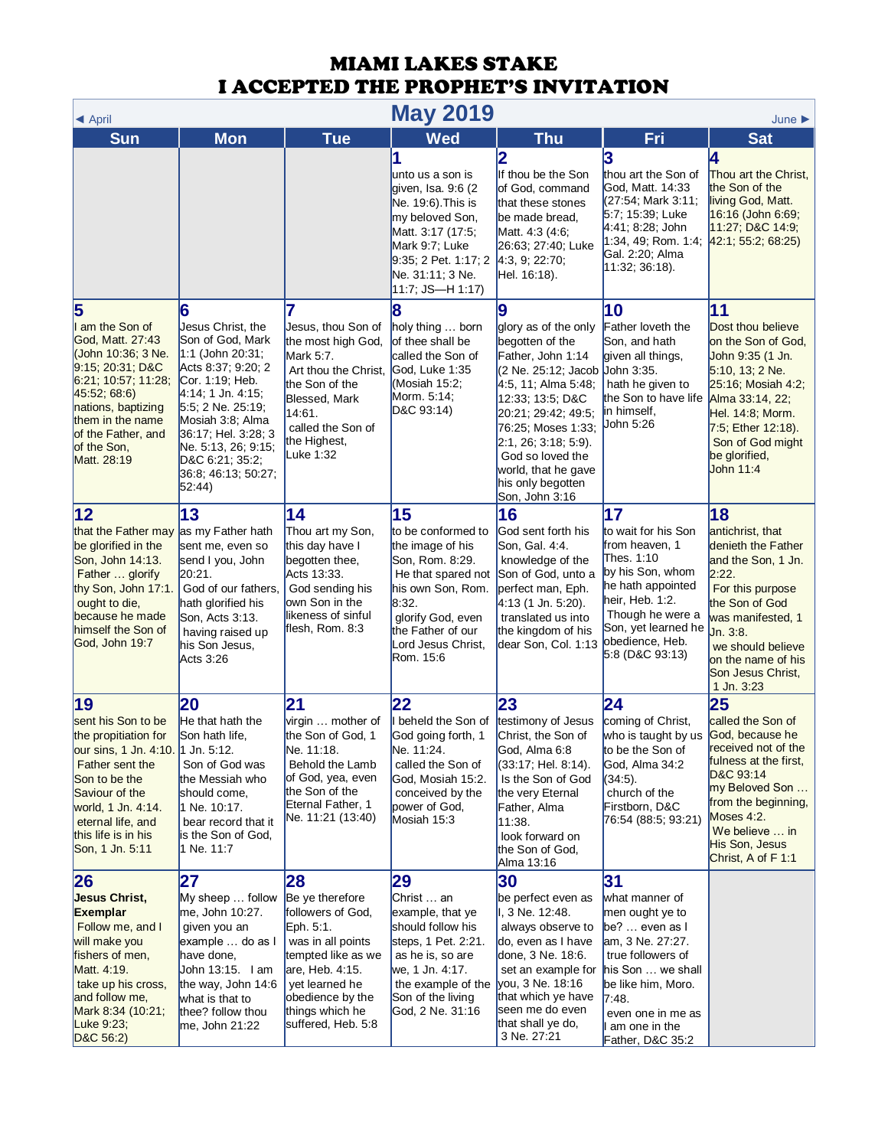| <b>May 2019</b><br>$\triangle$ April                                                                                                                                                                                             |                                                                                                                                                                                                                                                                           |                                                                                                                                                                                                      |                                                                                                                                                                                                  |                                                                                                                                                                                                                                                                                            |                                                                                                                                                                                                                          |                                                                                                                                                                                                                                  |
|----------------------------------------------------------------------------------------------------------------------------------------------------------------------------------------------------------------------------------|---------------------------------------------------------------------------------------------------------------------------------------------------------------------------------------------------------------------------------------------------------------------------|------------------------------------------------------------------------------------------------------------------------------------------------------------------------------------------------------|--------------------------------------------------------------------------------------------------------------------------------------------------------------------------------------------------|--------------------------------------------------------------------------------------------------------------------------------------------------------------------------------------------------------------------------------------------------------------------------------------------|--------------------------------------------------------------------------------------------------------------------------------------------------------------------------------------------------------------------------|----------------------------------------------------------------------------------------------------------------------------------------------------------------------------------------------------------------------------------|
| <b>Sun</b>                                                                                                                                                                                                                       | <b>Mon</b>                                                                                                                                                                                                                                                                | <b>Tue</b>                                                                                                                                                                                           | <b>Wed</b>                                                                                                                                                                                       | <b>Thu</b>                                                                                                                                                                                                                                                                                 | Fri                                                                                                                                                                                                                      | <b>Sat</b>                                                                                                                                                                                                                       |
|                                                                                                                                                                                                                                  |                                                                                                                                                                                                                                                                           |                                                                                                                                                                                                      | unto us a son is<br>qiven, Isa. 9:6 (2<br>Ne. 19:6). This is<br>my beloved Son,<br>Matt. 3:17 (17:5;<br>Mark 9:7; Luke<br>9:35; 2 Pet. 1:17; 2<br>Ne. 31:11; 3 Ne.<br>$11:7;$ JS-H 1:17)         | 2<br>If thou be the Son<br>of God, command<br>that these stones<br>be made bread,<br>Matt. 4:3 (4:6;<br>26:63; 27:40; Luke<br>4:3, 9; 22:70;<br>Hel. 16:18).                                                                                                                               | 3<br>thou art the Son of<br>God, Matt. 14:33<br>(27:54; Mark 3:11;<br>5:7; 15:39; Luke<br>4:41; 8:28; John<br>1:34, 49; Rom. 1:4; 42:1; 55:2; 68:25)<br>Gal. 2:20; Alma<br>11:32; 36:18.                                 | 4<br>Thou art the Christ.<br>the Son of the<br>living God, Matt.<br>16:16 (John 6:69;<br>11:27; D&C 14:9;                                                                                                                        |
| 5<br>I am the Son of<br>God, Matt. 27:43<br>(John 10:36; 3 Ne.<br>9:15; 20:31; D&C<br> 6:21; 10:57; 11:28;<br>45:52; 68:6<br>nations, baptizing<br>them in the name<br>of the Father, and<br>of the Son,<br>Matt. 28:19          | 6<br>Jesus Christ, the<br>Son of God, Mark<br>$1:1$ (John 20:31;<br>Acts 8:37; 9:20; 2<br>Cor. 1:19; Heb.<br>4:14; 1 Jn. 4:15;<br>5.5; 2 Ne. 25:19;<br>Mosiah 3:8; Alma<br>36:17; Hel. 3:28; 3<br>Ne. 5:13, 26; 9:15;<br>D&C 6:21; 35:2;<br>36:8; 46:13; 50:27;<br>52:44) | Jesus, thou Son of<br>the most high God,<br>Mark 5:7.<br>Art thou the Christ,<br>the Son of the<br>Blessed, Mark<br>14:61.<br>called the Son of<br>the Highest,<br>Luke 1:32                         | 8<br>holy thing  born<br>of thee shall be<br>called the Son of<br>God, Luke 1:35<br>(Mosiah 15:2;<br>Morm. 5:14;<br>D&C 93:14)                                                                   | 9<br>glory as of the only<br>begotten of the<br>Father, John 1:14<br>(2 Ne. 25:12; Jacob<br>4:5, 11; Alma 5:48;<br>12:33; 13:5; D&C<br>20:21; 29:42; 49:5;<br>76:25; Moses 1:33;<br>2:1, 26; 3:18; 5:9).<br>God so loved the<br>world, that he gave<br>his only begotten<br>Son, John 3:16 | 10<br>Father loveth the<br>Son, and hath<br>given all things,<br>John 3:35.<br>hath he given to<br>the Son to have life<br>in himself,<br>John 5:26                                                                      | 11<br>Dost thou believe<br>on the Son of God,<br>John 9:35 (1 Jn.<br>5:10, 13; 2 Ne.<br>25:16; Mosiah 4:2;<br>Alma 33:14, 22;<br>Hel. 14:8; Morm.<br>7:5; Ether 12:18).<br>Son of God might<br>be glorified,<br>John 11:4        |
| 12<br>that the Father may as my Father hath<br>be glorified in the<br>Son, John 14:13.<br>Father  glorify<br>thy Son, John 17:1.<br>ought to die,<br>because he made<br>himself the Son of<br>God, John 19:7                     | 13<br>sent me, even so<br>send I you, John<br>20:21.<br>God of our fathers,<br>hath glorified his<br>Son, Acts 3:13.<br>having raised up<br>his Son Jesus,<br>Acts 3:26                                                                                                   | 14<br>Thou art my Son,<br>this day have I<br>begotten thee,<br>Acts 13:33.<br>God sending his<br>own Son in the<br>likeness of sinful<br>flesh, Rom. 8:3                                             | 15<br>to be conformed to<br>the image of his<br>Son, Rom. 8:29.<br>He that spared not<br>his own Son, Rom.<br>8:32.<br>glorify God, even<br>the Father of our<br>Lord Jesus Christ,<br>Rom. 15:6 | 16<br>God sent forth his<br>Son, Gal. 4:4.<br>knowledge of the<br>Son of God, unto a<br>perfect man, Eph.<br>4:13 (1 Jn. 5:20).<br>translated us into<br>the kingdom of his<br>dear Son, Col. 1:13                                                                                         | 17<br>to wait for his Son<br>from heaven, 1<br>Thes. 1:10<br>by his Son, whom<br>he hath appointed<br>heir, Heb. 1:2.<br>Though he were a<br>Son, yet learned he<br>obedience, Heb.<br>5:8 (D&C 93:13)                   | 18<br>antichrist, that<br>denieth the Father<br>and the Son, 1 Jn.<br>2:22.<br>For this purpose<br>the Son of God<br>was manifested, 1<br>Jn. 3:8.<br>we should believe<br>on the name of his<br>Son Jesus Christ,<br>1 Jn. 3:23 |
| 19<br>sent his Son to be<br>the propitiation for<br>our sins, 1 Jn. 4:10. 1 Jn. 5:12.<br>Father sent the<br>Son to be the<br>Saviour of the<br>world, 1 Jn. 4:14.<br>eternal life, and<br>this life is in his<br>Son, 1 Jn. 5:11 | 20<br>He that hath the<br>Son hath life,<br>Son of God was<br>the Messiah who<br>should come,<br>1 Ne. 10:17.<br>bear record that it<br>is the Son of God,<br>1 Ne. 11:7                                                                                                  | $\mathbf{21}$<br>virgin  mother of<br>the Son of God, 1<br>Ne. 11:18.<br>Behold the Lamb<br>of God, yea, even<br>the Son of the<br>Eternal Father, 1<br>Ne. 11:21 (13:40)                            | 22<br>I beheld the Son of<br>God going forth, 1<br>Ne. 11:24.<br>called the Son of<br>God, Mosiah 15:2.<br>conceived by the<br>power of God,<br>Mosiah 15:3                                      | 23<br>testimony of Jesus<br>Christ, the Son of<br>God, Alma 6:8<br>(33:17; Hel. 8:14).<br>Is the Son of God<br>the very Eternal<br>Father, Alma<br>11:38.<br>look forward on<br>the Son of God,<br>Alma 13:16                                                                              | $\overline{24}$<br>coming of Christ,<br>who is taught by us<br>to be the Son of<br>God, Alma 34:2<br>$(34:5)$ .<br>church of the<br>Firstborn, D&C<br>76:54 (88:5; 93:21)                                                | 25<br>called the Son of<br>God, because he<br>received not of the<br>fulness at the first,<br>D&C 93:14<br>my Beloved Son<br>from the beginning,<br>Moses 4:2.<br>We believe  in<br>His Son, Jesus<br>Christ, A of F 1:1         |
| 26<br><b>Jesus Christ,</b><br><b>Exemplar</b><br>Follow me, and I<br>will make you<br>fishers of men,<br>Matt. 4:19.<br>take up his cross,<br>and follow me,<br>Mark 8:34 (10:21;<br>Luke 9:23;<br>D&C 56:2)                     | 27<br>My sheep  follow<br>me, John 10:27.<br>given you an<br>example  do as I<br>have done,<br>John 13:15. I am<br>the way, John 14:6<br>what is that to<br>thee? follow thou<br>me, John 21:22                                                                           | 28<br>Be ye therefore<br>followers of God,<br>Eph. 5:1.<br>was in all points<br>tempted like as we<br>are, Heb. 4:15.<br>yet learned he<br>obedience by the<br>things which he<br>suffered, Heb. 5:8 | 29<br>Christ  an<br>example, that ye<br>should follow his<br>steps, 1 Pet. 2:21.<br>as he is, so are<br>we, 1 Jn. 4:17.<br>the example of the<br>Son of the living<br>God, 2 Ne. 31:16           | 30<br>be perfect even as<br>I, 3 Ne. 12:48.<br>always observe to<br>do, even as I have<br>done, 3 Ne. 18:6.<br>set an example for<br>you, 3 Ne. 18:16<br>that which ye have<br>seen me do even<br>that shall ye do,<br>3 Ne. 27:21                                                         | 31<br>what manner of<br>men ought ye to<br>be? $\ldots$ even as I<br>am, 3 Ne. 27:27.<br>true followers of<br>his Son  we shall<br>be like him, Moro.<br>7:48.<br>even one in me as<br>am one in the<br>Father, D&C 35:2 |                                                                                                                                                                                                                                  |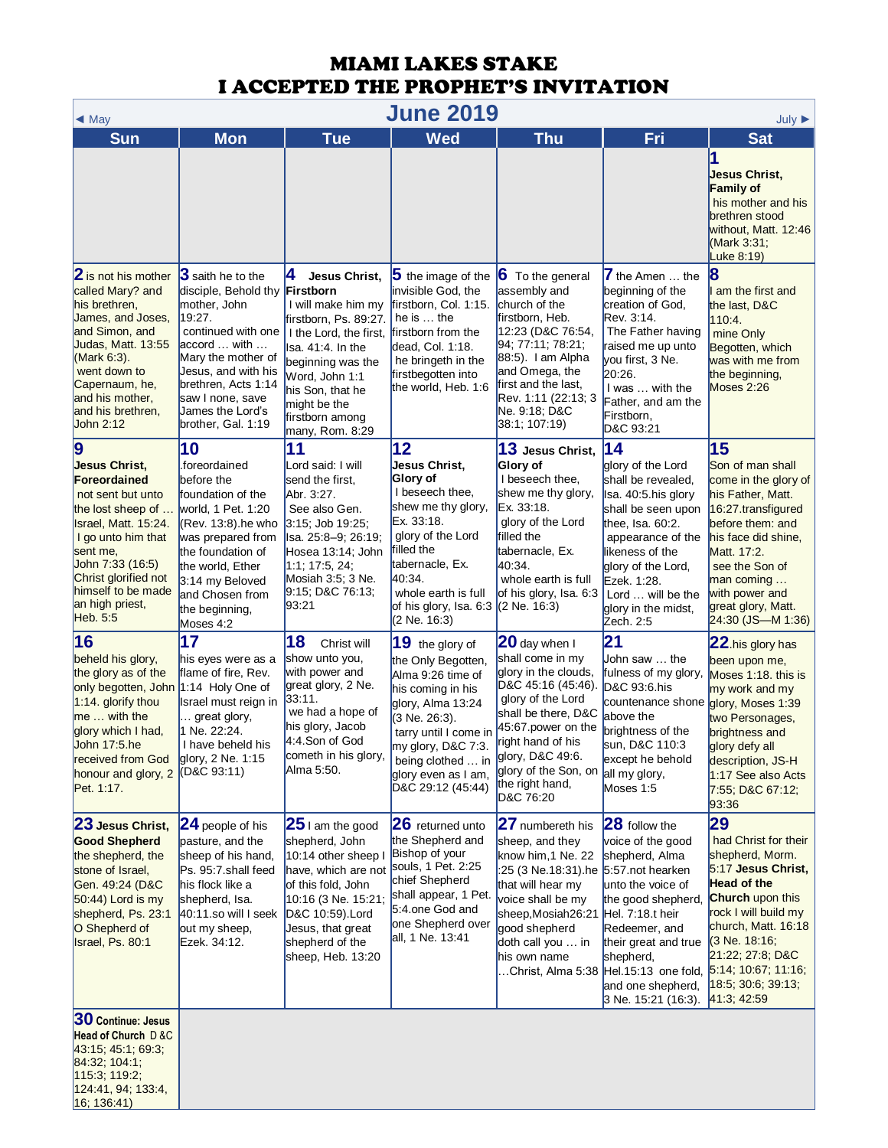| <b>June 2019</b><br>$\triangleleft$ May                                                                                                                                                                                                                       |                                                                                                                                                                                                                                                       |                                                                                                                                                                                                                                   |                                                                                                                                                                                                                                       |                                                                                                                                                                                                                                                    |                                                                                                                                                                                                                                                                |                                                                                                                                                                                                                                                                      |
|---------------------------------------------------------------------------------------------------------------------------------------------------------------------------------------------------------------------------------------------------------------|-------------------------------------------------------------------------------------------------------------------------------------------------------------------------------------------------------------------------------------------------------|-----------------------------------------------------------------------------------------------------------------------------------------------------------------------------------------------------------------------------------|---------------------------------------------------------------------------------------------------------------------------------------------------------------------------------------------------------------------------------------|----------------------------------------------------------------------------------------------------------------------------------------------------------------------------------------------------------------------------------------------------|----------------------------------------------------------------------------------------------------------------------------------------------------------------------------------------------------------------------------------------------------------------|----------------------------------------------------------------------------------------------------------------------------------------------------------------------------------------------------------------------------------------------------------------------|
| <b>Sun</b>                                                                                                                                                                                                                                                    | <b>Mon</b>                                                                                                                                                                                                                                            | <b>Tue</b>                                                                                                                                                                                                                        | <b>Wed</b>                                                                                                                                                                                                                            | <b>Thu</b>                                                                                                                                                                                                                                         | Fri                                                                                                                                                                                                                                                            | July $\blacktriangleright$<br><b>Sat</b>                                                                                                                                                                                                                             |
|                                                                                                                                                                                                                                                               |                                                                                                                                                                                                                                                       |                                                                                                                                                                                                                                   |                                                                                                                                                                                                                                       |                                                                                                                                                                                                                                                    |                                                                                                                                                                                                                                                                | Jesus Christ,<br><b>Family of</b><br>his mother and his<br>brethren stood<br>without, Matt. 12:46<br>(Mark 3:31;<br>Luke 8:19)                                                                                                                                       |
| 2 is not his mother<br>called Mary? and<br>his brethren.<br>James, and Joses,<br>and Simon, and<br>Judas, Matt. 13:55<br>(Mark 6:3).<br>went down to<br>Capernaum, he,<br>and his mother,<br>and his brethren,<br>John 2:12                                   | 3 saith he to the<br>disciple, Behold thy Firstborn<br>mother, John<br>19:27.<br>continued with one<br>accord  with<br>Mary the mother of<br>Jesus, and with his<br>brethren, Acts 1:14<br>saw I none, save<br>James the Lord's<br>brother, Gal. 1:19 | 14<br>Jesus Christ,<br>I will make him my<br>firstborn, Ps. 89:27.<br>I the Lord, the first,<br>sa. 41:4. In the<br>beginning was the<br>Word, John 1:1<br>his Son, that he<br>might be the<br>firstborn among<br>many, Rom. 8:29 | $5$ the image of the<br>invisible God. the<br>firstborn, Col. 1:15.<br>he is $\dots$ the<br>firstborn from the<br>dead, Col. 1:18.<br>he bringeth in the<br>firstbegotten into<br>the world, Heb. 1:6                                 | <b>6</b> To the general<br>assembly and<br>church of the<br>firstborn, Heb.<br>12:23 (D&C 76:54,<br>94; 77:11; 78:21;<br>88:5). I am Alpha<br>and Omega, the<br>first and the last,<br>Rev. 1:11 (22:13; 3<br>Ne. 9:18; D&C<br>38:1; 107:19)       | $\overline{7}$ the Amen  the<br>beginning of the<br>creation of God,<br>Rev. 3:14.<br>The Father having<br>raised me up unto<br>you first, 3 Ne.<br>20:26.<br>I was  with the<br>Father, and am the<br>Firstborn,<br>D&C 93:21                                 | 18<br>am the first and<br>the last, D&C<br>110:4.<br>mine Only<br>Begotten, which<br>was with me from<br>the beginning,<br>Moses 2:26                                                                                                                                |
| $\boldsymbol{9}$<br><b>Jesus Christ,</b><br>Foreordained<br>not sent but unto<br>the lost sheep of<br>Israel, Matt. 15:24.<br>I go unto him that<br>sent me,<br>John 7:33 (16:5)<br>Christ glorified not<br>himself to be made<br>an high priest,<br>Heb. 5:5 | 10<br>.foreordained<br>before the<br>foundation of the<br>world, 1 Pet. 1:20<br>$(Rev. 13.8)$ .he who<br>was prepared from<br>the foundation of<br>the world, Ether<br>3:14 my Beloved<br>and Chosen from<br>the beginning,<br>Moses 4:2              | 11<br>Lord said: I will<br>send the first,<br>Abr. 3:27.<br>See also Gen.<br>$3:15$ ; Job 19:25;<br>lsa. 25:8–9; 26:19;<br>Hosea 13:14; John<br>1:1; 17:5, 24;<br>Mosiah $3:5$ ; 3 Ne.<br>$9:15$ ; D&C 76:13;<br>93:21            | 12<br>Jesus Christ.<br>Glory of<br>I beseech thee,<br>shew me thy glory,<br>Ex. 33:18.<br>glory of the Lord<br>filled the<br>tabernacle, Ex.<br>40:34.<br>whole earth is full<br>of his glory, Isa. 6:3<br>(2 Ne. 16:3)               | 13 Jesus Christ,<br>Glory of<br>I beseech thee,<br>shew me thy glory,<br>Ex. 33:18.<br>glory of the Lord<br>filled the<br>tabernacle, Ex.<br>40:34.<br>whole earth is full<br>of his glory, Isa. 6:3<br>$(2$ Ne. 16:3)                             | 14<br>glory of the Lord<br>shall be revealed,<br>Isa. 40:5.his glory<br>shall be seen upon<br>thee, $Isa. 60:2.$<br>appearance of the<br>likeness of the<br>glory of the Lord,<br>Ezek. 1:28.<br>Lord  will be the<br>glory in the midst,<br>Zech. 2:5         | 15<br>Son of man shall<br>come in the glory of<br>his Father, Matt.<br>16:27.transfigured<br>before them: and<br>his face did shine,<br>Matt. 17:2.<br>see the Son of<br>man coming<br>with power and<br>great glory, Matt.<br>$24:30$ (JS-M 1:36)                   |
| 16<br>beheld his glory,<br>the glory as of the<br>only begotten, John<br>$1:14.$ glorify thou<br>$me$ with the<br>glory which I had,<br>John 17:5.he<br>received from God<br>honour and glory, 2<br>Pet. 1:17.                                                | 17<br>his eyes were as a<br>flame of fire, Rev.<br>$1:14$ Holy One of<br>Israel must reign in<br>great glory,<br>1 Ne. 22:24.<br>I have beheld his<br>glory, 2 Ne. 1:15<br>(D&C 93:11)                                                                | 18<br>Christ will<br>show unto you,<br>with power and<br>great glory, 2 Ne.<br>33:11.<br>we had a hope of<br>his glory, Jacob<br>4:4.Son of God<br>cometh in his glory,<br>Alma 5:50.                                             | 19 the glory of<br>the Only Begotten,<br>Alma 9:26 time of<br>his coming in his<br>glory, Alma 13:24<br>(3 Ne. 26:3).<br>tarry until I come in<br>my glory, D&C 7:3.<br>being clothed  in<br>glory even as I am,<br>D&C 29:12 (45:44) | 20 day when I<br>shall come in my<br>glory in the clouds,<br>D&C 45:16 (45:46).<br>glory of the Lord<br>shall be there, D&C<br>45:67 power on the<br>right hand of his<br>glory, D&C 49:6.<br>glory of the Son, on<br>the right hand,<br>D&C 76:20 | $\mathbf{21}$<br>John saw  the<br>fulness of my glory,<br>D&C 93:6.his<br>countenance shone<br>above the<br>brightness of the<br>sun, D&C 110:3<br>except he behold<br>all my glory,<br>Moses 1:5                                                              | 22.his glory has<br>been upon me,<br>Moses 1:18. this is<br>my work and my<br>glory, Moses 1:39<br>two Personages,<br>brightness and<br>glory defy all<br>description, JS-H<br>1:17 See also Acts<br>7:55; D&C 67:12;<br>93:36                                       |
| 23 Jesus Christ,<br><b>Good Shepherd</b><br>the shepherd, the<br>stone of Israel,<br>Gen. 49:24 (D&C<br>$50:44$ ) Lord is my<br>shepherd, Ps. 23:1<br>O Shepherd of<br>Israel, Ps. 80:1                                                                       | 24 people of his<br>pasture, and the<br>sheep of his hand,<br>Ps. 95:7.shall feed<br>his flock like a<br>shepherd, Isa.<br>$40:11$ .so will I seek<br>out my sheep,<br>Ezek. 34:12.                                                                   | $25$ I am the good<br>shepherd, John<br>10:14 other sheep I<br>have, which are not<br>of this fold, John<br>10:16 (3 Ne. 15:21<br>D&C 10:59).Lord<br>Jesus, that great<br>shepherd of the<br>sheep, Heb. 13:20                    | 26 returned unto<br>the Shepherd and<br>Bishop of your<br>souls, 1 Pet. 2:25<br>chief Shepherd<br>shall appear, 1 Pet.<br>5:4.one God and<br>one Shepherd over<br>all, 1 Ne. 13:41                                                    | 27 numbereth his<br>sheep, and they<br>know him, 1 Ne. 22<br>:25 (3 Ne.18:31).he 5:57.not hearken<br>that will hear my<br>voice shall be my<br>sheep, Mosiah 26:21<br>good shepherd<br>doth call you  in<br>his own name                           | 28 follow the<br>voice of the good<br>shepherd, Alma<br>unto the voice of<br>the good shepherd,<br>Hel. 7:18.t heir<br>Redeemer, and<br>their great and true<br>shepherd,<br>Christ, Alma 5:38 Hel.15:13 one fold,<br>and one shepherd,<br>3 Ne. 15:21 (16:3). | 29<br>had Christ for their<br>shepherd, Morm.<br>5:17 Jesus Christ,<br><b>Head of the</b><br><b>Church</b> upon this<br>rock I will build my<br>church, Matt. 16:18<br>(3 Ne. 18:16;<br>21:22, 27:8, D&C<br>5:14; 10:67; 11:16;<br>18:5; 30:6; 39:13;<br>41.3, 42.59 |
| 30 Continue: Jesus<br>Head of Church D &C<br>43:15, 45:1, 69:3,<br>84:32, 104:1;<br>115:3; 119:2;<br>124:41, 94, 133:4,<br>$ 16; 136:41\rangle$                                                                                                               |                                                                                                                                                                                                                                                       |                                                                                                                                                                                                                                   |                                                                                                                                                                                                                                       |                                                                                                                                                                                                                                                    |                                                                                                                                                                                                                                                                |                                                                                                                                                                                                                                                                      |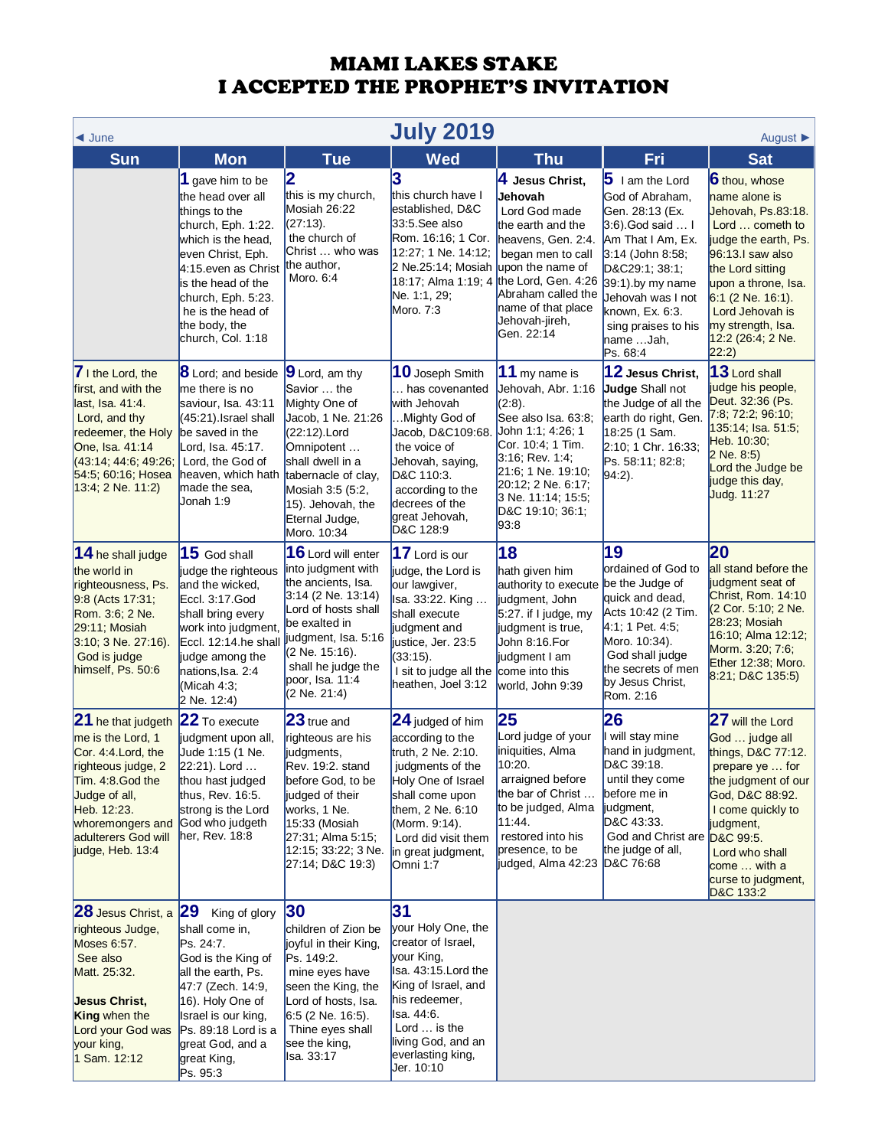| <b>July 2019</b><br>$\triangleleft$ June<br>August $\blacktriangleright$                                                                                                                                 |                                                                                                                                                                                                                                                       |                                                                                                                                                                                                                                  |                                                                                                                                                                                                                       |                                                                                                                                                                                                                                    |                                                                                                                                                                                                                                                    |                                                                                                                                                                                                                                                                      |  |
|----------------------------------------------------------------------------------------------------------------------------------------------------------------------------------------------------------|-------------------------------------------------------------------------------------------------------------------------------------------------------------------------------------------------------------------------------------------------------|----------------------------------------------------------------------------------------------------------------------------------------------------------------------------------------------------------------------------------|-----------------------------------------------------------------------------------------------------------------------------------------------------------------------------------------------------------------------|------------------------------------------------------------------------------------------------------------------------------------------------------------------------------------------------------------------------------------|----------------------------------------------------------------------------------------------------------------------------------------------------------------------------------------------------------------------------------------------------|----------------------------------------------------------------------------------------------------------------------------------------------------------------------------------------------------------------------------------------------------------------------|--|
| <b>Sun</b>                                                                                                                                                                                               | <b>Mon</b>                                                                                                                                                                                                                                            | <b>Tue</b>                                                                                                                                                                                                                       | <b>Wed</b>                                                                                                                                                                                                            | <b>Thu</b>                                                                                                                                                                                                                         | Fri                                                                                                                                                                                                                                                | <b>Sat</b>                                                                                                                                                                                                                                                           |  |
|                                                                                                                                                                                                          | 1 gave him to be<br>the head over all<br>things to the<br>church, Eph. 1:22.<br>which is the head,<br>even Christ, Eph.<br>4:15 even as Christ<br>is the head of the<br>church, Eph. 5:23.<br>he is the head of<br>the body, the<br>church, Col. 1:18 | 2<br>this is my church,<br>Mosiah 26:22<br>(27:13).<br>the church of<br>Christ  who was<br>the author.<br>Moro, 6:4                                                                                                              | 3<br>this church have I<br>established, D&C<br>33:5.See also<br>Rom. 16:16; 1 Cor.<br>12:27; 1 Ne. 14:12;<br>2 Ne.25:14; Mosiah<br>18:17; Alma 1:19; 4<br>Ne. 1:1, 29;<br>Moro. 7:3                                   | 4 Jesus Christ,<br>Jehovah<br>Lord God made<br>the earth and the<br>heavens, Gen. 2:4.<br>began men to call<br>upon the name of<br>the Lord, Gen. 4:26<br>Abraham called the<br>name of that place<br>Jehovah-jireh,<br>Gen. 22:14 | $5$ I am the Lord<br>God of Abraham,<br>Gen. 28:13 (Ex.<br>3:6) God said  I<br>Am That I Am, Ex.<br>3:14 (John 8:58;<br>D&C29:1; 38:1;<br>39:1) by my name<br>Jehovah was I not<br>known, Ex. 6:3.<br>sing praises to his<br>name Jah,<br>Ps. 68:4 | 6 thou, whose<br>name alone is<br>Jehovah, Ps.83:18.<br>Lord  cometh to<br>judge the earth, Ps.<br>96:13.1 saw also<br>the Lord sitting<br>upon a throne, Isa.<br>$6:1$ (2 Ne. 16:1).<br>Lord Jehovah is<br>my strength, Isa.<br>12:2 (26:4; 2 Ne.<br>$ 22:2\rangle$ |  |
| 7 I the Lord, the<br>first, and with the<br>last, Isa. 41:4.<br>Lord, and thy<br>redeemer, the Holy<br>One, Isa. 41:14<br>(43.14, 44.6, 49.26)<br>54:5; 60:16; Hosea<br>$13:4; 2$ Ne. 11:2)              | <b>8</b> Lord; and beside<br>me there is no<br>saviour, Isa. 43:11<br>(45:21).Israel shall<br>be saved in the<br>Lord, Isa. 45:17.<br>Lord, the God of<br>heaven, which hath<br>made the sea,<br>Jonah 1:9                                            | 9 Lord, am thy<br>Savior  the<br>Mighty One of<br>Jacob, 1 Ne. 21:26<br>(22:12).Lord<br>Omnipotent<br>shall dwell in a<br>tabernacle of clay,<br>Mosiah 3:5 (5:2,<br>15). Jehovah, the<br>Eternal Judge,<br>Moro. 10:34          | 10 Joseph Smith<br>has covenanted<br>with Jehovah<br>Mighty God of<br>Jacob, D&C109:68.<br>the voice of<br>Jehovah, saying,<br>D&C 110:3.<br>according to the<br>decrees of the<br>great Jehovah,<br>D&C 128:9        | 11 my name is<br>Jehovah, Abr. 1:16<br>(2:8).<br>See also Isa. 63:8;<br>John 1:1; 4:26; 1<br>Cor. 10:4; 1 Tim.<br>$3:16$ ; Rev. 1:4;<br>21:6; 1 Ne. 19:10;<br>20:12; 2 Ne. 6:17;<br>3 Ne. 11:14; 15:5;<br>D&C 19:10; 36:1;<br>93:8 | 12 Jesus Christ,<br>Judge Shall not<br>the Judge of all the<br>earth do right, Gen.<br>18:25 (1 Sam.<br>2:10; 1 Chr. 16:33;<br>Ps. 58:11; 82:8;<br>$94:2$ ).                                                                                       | 13 Lord shall<br>judge his people,<br>Deut. 32:36 (Ps.<br>7:8; 72:2; 96:10;<br>135:14; Isa. 51:5;<br>Heb. 10:30;<br>2 Ne. 8:5)<br>Lord the Judge be<br>judge this day,<br>Judg. 11:27                                                                                |  |
| 14 he shall judge<br>the world in<br>righteousness, Ps.<br>9.8 (Acts 17:31;<br>Rom. 3:6; 2 Ne.<br>29:11; Mosiah<br>$3:10; 3$ Ne. 27:16).<br>God is judge<br>himself, Ps. 50:6                            | 15 God shall<br>judge the righteous<br>and the wicked,<br>Eccl. 3:17.God<br>shall bring every<br>work into judgment,<br>Eccl. 12:14.he shall<br>judge among the<br>nations, Isa. 2:4<br>(Micah 4:3;<br>2 Ne. 12:4)                                    | 16 Lord will enter<br>into judgment with<br>the ancients, Isa.<br>$3:14$ (2 Ne. 13:14)<br>Lord of hosts shall<br>be exalted in<br>judgment, Isa. 5:16<br>(2 Ne. 15:16).<br>shall he judge the<br>poor, Isa. 11:4<br>(2 Ne. 21:4) | 17 Lord is our<br>judge, the Lord is<br>our lawgiver,<br>Isa. 33:22. King<br>shall execute<br>judgment and<br>justice, Jer. 23:5<br>(33:15).<br>I sit to judge all the<br>heathen, Joel 3:12                          | 18<br>hath given him<br>authority to execute be the Judge of<br>judgment, John<br>$5:27.$ if I judge, my<br>judgment is true,<br>John 8:16.For<br>judgment I am<br>come into this<br>world, John 9:39                              | 19<br>ordained of God to<br>quick and dead,<br>Acts 10:42 (2 Tim.<br>4:1; 1 Pet. 4:5;<br>Moro. 10:34).<br>God shall judge<br>the secrets of men<br>by Jesus Christ,<br>Rom. 2:16                                                                   | 20<br>all stand before the<br>judgment seat of<br>Christ, Rom. 14:10<br>(2 Cor. 5:10; 2 Ne.<br>28:23; Mosiah<br>16:10; Alma 12:12;<br>Morm. 3:20; 7:6;<br>Ether 12:38; Moro.<br>$8:21$ ; D&C 135:5)                                                                  |  |
| 21 he that judgeth<br>me is the Lord, 1<br>Cor. 4:4. Lord, the<br>righteous judge, 2<br>Tim. 4:8. God the<br>Judge of all,<br>Heb. 12:23.<br>whoremongers and<br>adulterers God will<br>judge, Heb. 13:4 | 22 To execute<br>judgment upon all,<br>Jude 1:15 (1 Ne.<br>22:21). Lord<br>thou hast judged<br>thus, Rev. 16:5.<br>strong is the Lord<br>God who judgeth<br>her, Rev. 18:8                                                                            | 23 true and<br>righteous are his<br>judgments,<br>Rev. 19:2. stand<br>before God, to be<br>judged of their<br>works, 1 Ne.<br>15:33 (Mosiah<br>27:31; Alma 5:15;<br>12:15; 33:22; 3 Ne.<br>27:14; D&C 19:3)                      | 24 judged of him<br>according to the<br>truth, 2 Ne. 2:10.<br>judgments of the<br>Holy One of Israel<br>shall come upon<br>them, 2 Ne. 6:10<br>(Morm. 9:14).<br>Lord did visit them<br>in great judgment,<br>Omni 1:7 | 25<br>Lord judge of your<br>iniquities, Alma<br>10:20.<br>arraigned before<br>the bar of Christ<br>to be judged, Alma<br>11:44.<br>restored into his<br>presence, to be<br>judged, Alma 42:23                                      | 26<br>will stay mine<br>hand in judgment,<br>D&C 39:18.<br>until they come<br>before me in<br>judgment,<br>D&C 43:33.<br>God and Christ are D&C 99:5.<br>the judge of all,<br>D&C 76:68                                                            | 27 will the Lord<br>God  judge all<br>things, D&C 77:12.<br>prepare ye  for<br>the judgment of our<br>God, D&C 88:92.<br>I come quickly to<br>judgment,<br>Lord who shall<br>come  with a<br>curse to judgment,<br>D&C 133:2                                         |  |
| 28 Jesus Christ, a<br>righteous Judge,<br>Moses 6:57.<br>See also<br>Matt. 25:32.<br>Jesus Christ,<br><b>King</b> when the<br>Lord your God was<br>your king,<br>1 Sam. 12:12                            | 29 <br>King of glory<br>shall come in,<br>Ps. 24:7.<br>God is the King of<br>all the earth, Ps.<br>47:7 (Zech. 14:9,<br>16). Holy One of<br>Israel is our king,<br>$Ps. 89:18$ Lord is a<br>great God, and a<br>great King,<br>Ps. 95:3               | 30<br>children of Zion be<br>joyful in their King,<br>Ps. 149:2.<br>mine eyes have<br>seen the King, the<br>Lord of hosts, Isa.<br>$6:5$ (2 Ne. 16:5).<br>Thine eyes shall<br>see the king,<br>lsa. 33:17                        | 31<br>your Holy One, the<br>creator of Israel,<br>your King,<br>Isa. 43:15. Lord the<br>King of Israel, and<br>his redeemer,<br>Isa. 44:6.<br>Lord  is the<br>living God, and an<br>everlasting king,<br>Jer. 10:10   |                                                                                                                                                                                                                                    |                                                                                                                                                                                                                                                    |                                                                                                                                                                                                                                                                      |  |